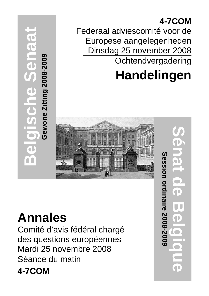**4-7COM** Federaal adviescomité voor de Europese aangelegenheden Dinsdag 25 november 2008 **Ochtendvergadering** 

# **Handelingen**



## **Annales**

**Belgische Senaat**

O

 $\overline{\textbf{d}}$ 

Gewone Zitting 2008-2009

Comité d'avis fédéral chargé des questions européennes Mardi 25 novembre 2008 Séance du matin **4-7COM**

**Sénat de Belgique Session ordinaire 2008-2009** Session ordinaire 2008-2009 Ō **OD**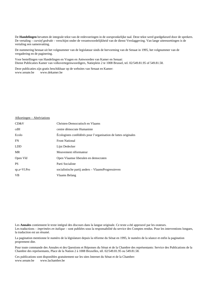De **Handelingen** bevatten de integrale tekst van de redevoeringen in de oorspronkelijke taal. Deze tekst werd goedgekeurd door de sprekers. De vertaling – *cursief gedrukt* – verschijnt onder de verantwoordelijkheid van de dienst Verslaggeving. Van lange uiteenzettingen is de vertaling een samenvatting.

De nummering bestaat uit het volgnummer van de legislatuur sinds de hervorming van de Senaat in 1995, het volgnummer van de vergadering en de paginering.

Voor bestellingen van Handelingen en Vragen en Antwoorden van Kamer en Senaat: Dienst Publicaties Kamer van volksvertegenwoordigers, Natieplein 2 te 1008 Brussel, tel. 02/549.81.95 of 549.81.58.

Deze publicaties zijn gratis beschikbaar op de websites van Senaat en Kamer: www.senate.be www.dekamer.be

## Afkortingen – Abréviations

| CD&V          | Christen-Democratisch en Vlaams                                 |
|---------------|-----------------------------------------------------------------|
| cdH           | centre démocrate Humaniste                                      |
| Ecolo         | Écologistes confédérés pour l'organisation de luttes originales |
| FN.           | <b>Front National</b>                                           |
| <b>LDD</b>    | Lijst Dedecker                                                  |
| <b>MR</b>     | Mouvement réformateur                                           |
| Open Vld      | Open Vlaamse liberalen en democraten                            |
| <b>PS</b>     | Parti Socialiste                                                |
| $sp.a+VI.Pro$ | socialistische partij anders – VlaamsProgressieven              |
| <b>VB</b>     | Vlaams Belang                                                   |

Les **Annales** contiennent le texte intégral des discours dans la langue originale. Ce texte a été approuvé par les orateurs. Les traductions – *imprimées en italique* – sont publiées sous la responsabilité du service des Comptes rendus. Pour les interventions longues, la traduction est un résumé.

La pagination mentionne le numéro de la législature depuis la réforme du Sénat en 1995, le numéro de la séance et enfin la pagination proprement dite.

Pour toute commande des Annales et des Questions et Réponses du Sénat et de la Chambre des représentants: Service des Publications de la Chambre des représentants, Place de la Nation 2 à 1008 Bruxelles, tél. 02/549.81.95 ou 549.81.58.

Ces publications sont disponibles gratuitement sur les sites Internet du Sénat et de la Chambre: www.lachambre.be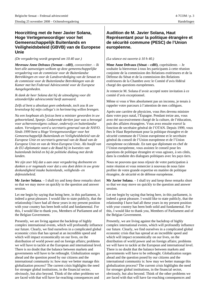## **Hoorzitting met de heer Javier Solana, Hoge Vertegenwoordiger voor het Gemeenschappelijk Buitenlands en Veiligheidsbeleid (GBVB) van de Europese Unie**

*(De vergadering wordt geopend om 10.40 uur.) (La séance est ouverte à 10 h 40.)*

*Mevrouw Anne Delvaux (Senaat – cdH), covoorzitter. – Ik heet alle aanwezigen welkom op deze gemeenschappelijke vergadering van de commissie voor de Buitenlandse Betrekkingen en voor de Landsverdediging van de Senaat en de commissie voor de Buitenlandse Betrekkingen van de Kamer met het Federaal Adviescomité voor de Europese Aangelegenheden.*

*Ik dank de heer Solana dat hij de uitnodiging voor dit uitzonderlijke adviescomité heeft aanvaard.*

*Zelfs al bent u absoluut geen onbekende, toch zou ik uw levensloop bij mijn collega's in herinnering willen brengen.*

*Na een loopbaan als fysicus bent u minister geworden in uw geboorteland, Spanje. Gedurende dertien jaar was u bevoegd voor achtereenvolgens cultuur, onderwijs en buitenlandse zaken. Vervolgens werd u secretaris-generaal van de NAVO. Sinds 1999 bent u Hoge Vertegenwoordiger voor het Gemeenschappelijk Buitenlands en Veiligheidsbeleid van de Europese Unie en secretaris-generaal van de Raad van de Europese Unie en van de West-Europese Unie. Als hoofd van de EU-diplomatie staat u de Raad bij in kwesties van buitenlands beleid en bij de politieke dialoog met derde landen.*

*We zijn zeer blij dat u aan onze vergadering deelneemt en danken u er nogmaals voor dat u ons doet delen in uw grote deskundigheid inzake buitenlands, veiligheids- en defensiebeleid.*

**Mr Javier Solana**. – I shall try and keep these remarks short so that we may move on quickly to the question and answer session.

Let me begin by saying that being here, in this parliament, is indeed a great pleasure. I would like to state publicly, that the relationship I have had all these years in my present position with your country has been both solid and fundamental. For this, I would like to thank you, Members of Parliament and of the Belgian Government.

Presently, we are living against the backdrop of highly complex international events, which will profoundly influence our future. Clearly, we find ourselves in a complicated global economic crisis that has spread at an incredible speed and which will impact economically on our lives, on the distribution of world power and on foreign affairs; problems we will have to tackle at the European and international level. There is no doubt that the balance between markets and governments will have to be rethought. Globalization surges ahead and the question posed by our citizens and the international community is: how may we better manage this globalization process? The current crisis highlights the need for stronger global institutions, in the financial sector, obviously, but also beyond. Think of the other problems we are faced with that will have far-reaching consequences and

## **Audition de M. Javier Solana, Haut Représentant pour la politique étrangère et de sécurité commune (PESC) de l'Union européenne.**

**Mme Anne Delvaux (Sénat – cdH)**, coprésidente. – Je souhaite la bienvenue à tous les participants à cette réunion conjointe de la commission des Relations extérieures et de la Défense du Sénat et de la commission des Relations extérieures de la Chambre avec le Comité d'avis fédéral chargé des questions européennes.

Je remercie M. Solana d'avoir accepté notre invitation à ce comité d'avis exceptionnel.

Même si vous n'êtes absolument pas un inconnu, je tenais à rappeler votre parcours à l'attention de mes collègues.

Après une carrière de physicien, vous êtes devenu ministre dans votre pays natal, l'Espagne. Pendant treize ans, vous avez été successivement chargé de la culture, de l'éducation, puis des affaires étrangères. Vous avez ensuite exercé la fonction de secrétaire général de l'OTAN. Depuis 1999, vous êtes le Haut Représentant pour la politique étrangère et de sécurité commune de l'Union européenne et le secrétaire général du conseil de l'Union européenne et de l'Union européenne occidentale. En tant que diplomate en chef de l'Union européenne, vous assistez le conseil pour les questions de politique étrangère et vous agissez, à ses côtés, dans la conduite des dialogues politiques avec les pays tiers.

Nous ne pouvons que nous réjouir de votre participation à notre réunion et vous remercier à nouveau de nous faire profiter de votre grande expertise en matière de politique étrangère, de sécurité et de défense européenne.

**Mr Javier Solana**. – I shall try and keep these remarks short so that we may move on quickly to the question and answer session.

Let me begin by saying that being here, in this parliament, is indeed a great pleasure. I would like to state publicly, that the relationship I have had all these years in my present position with your country has been both solid and fundamental. For this, I would like to thank you, Members of Parliament and of the Belgian Government.

Presently, we are living against the backdrop of highly complex international events, which will profoundly influence our future. Clearly, we find ourselves in a complicated global economic crisis that has spread at an incredible speed and which will impact economically on our lives, on the distribution of world power and on foreign affairs; problems we will have to tackle at the European and international level. There is no doubt that the balance between markets and governments will have to be rethought. Globalization surges ahead and the question posed by our citizens and the international community is: how may we better manage this globalization process? The current crisis highlights the need for stronger global institutions, in the financial sector, obviously, but also beyond. Think of the other problems we are faced with that will have far-reaching consequences and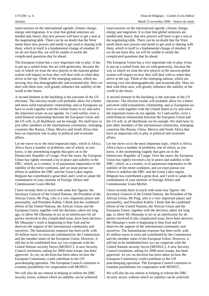4-7COM / p. 4 Sénat de Belgique – Comité d'avis fédéral

## Annales Mardi 25 novembre 2008 – Séance du matin

repercussions on the international agenda: climate change, energy and migration. It is clear that global solutions are needed and, hence, that new powers will have to get a seat at the negotiating table. There can be no doubt that the West needs these new powers and needs to get used to sharing with them, which in itself is a fundamental change of mindset. If we do not learn this, we will be unable to tackle the complicated questions that lie ahead.

The European Union has a very important role to play. It has to put up a united front, but act with generosity, because the way in which we treat the new players in the nascent global system will impact on how they will deal with us when they arrive at the top. Think of the emerging nations, which are moving very fast demographically and economically. How we deal with them now, will greatly influence the stability of the world in the future.

A second element in the backdrop is the outcome of the US elections. The election results will probably allow for a better and more solid transatlantic relationship, and as Europeans we have to work together with the United States to try and solve the important issues on our agenda. As I said earlier, even a solid bilateral relationship between the European Union and the US will, in all likelihood, not be enough. We shall have to join other members of the international community, emerging countries like Russia, China, Mexico and South Africa that have an important role to play in political and economic affairs.

Let me move on to the most important topic, which is Africa. Africa faces a number of problems, one of which, as you know, is the unremitting tragedy that goes on in the Democratic Republic of Congo. Over the years, the European Union has rightly invested a lot in peace and stability in the DRC, which, as a country, is of paramount importance to the stability of the entire continent, and we must pursue our efforts to stabilize the DRC and the Great Lakes region. Belgium has contributed a great deal, and I wish to salute the commitment of your minister of Foreign Affairs and Commissioner Louis Michel.

I have recently been in touch with some key figures: the Secretary-General of the United Nations, the President of the African Union, Mr Ping, who is a very important player and personality, and President Kabila. I think that the combined efforts of the United Nations, the African Union and the European Union, together with the decision, taken not long ago, to allow Mr Ọbasanjọ to act as an interlocutor for all parties involved in this complicated issue, have been decisive. Mr Obasanjo's work is beginning to bear fruit and he deserves the support of the international community and ourselves. The humanitarian response has been swift, with 45 million euros in extra aid contributed by the Commission and the member states of the European Union. However, it still has to be established how we can cooperate with the United Nations security forces (MONUC). A new Security Council resolution, asking for 3000 more troops, has been approved. As yet, no decision has been taken on how the European Community could contribute to the UN peacekeeping operation. The European Council continues to examine possibilities for cooperation with MONUC.

We will also do our utmost in helping to reform the DRC security sector, without which no stability can be achieved. repercussions on the international agenda: climate change, energy and migration. It is clear that global solutions are needed and, hence, that new powers will have to get a seat at the negotiating table. There can be no doubt that the West needs these new powers and needs to get used to sharing with them, which in itself is a fundamental change of mindset. If we do not learn this, we will be unable to tackle the complicated questions that lie ahead.

The European Union has a very important role to play. It has to put up a united front, but act with generosity, because the way in which we treat the new players in the nascent global system will impact on how they will deal with us when they arrive at the top. Think of the emerging nations, which are moving very fast demographically and economically. How we deal with them now, will greatly influence the stability of the world in the future.

A second element in the backdrop is the outcome of the US elections. The election results will probably allow for a better and more solid transatlantic relationship, and as Europeans we have to work together with the United States to try and solve the important issues on our agenda. As I said earlier, even a solid bilateral relationship between the European Union and the US will, in all likelihood, not be enough. We shall have to join other members of the international community, emerging countries like Russia, China, Mexico and South Africa that have an important role to play in political and economic affairs.

Let me move on to the most important topic, which is Africa. Africa faces a number of problems, one of which, as you know, is the unremitting tragedy that goes on in the Democratic Republic of Congo. Over the years, the European Union has rightly invested a lot in peace and stability in the DRC, which, as a country, is of paramount importance to the stability of the entire continent, and we must pursue our efforts to stabilize the DRC and the Great Lakes region. Belgium has contributed a great deal, and I wish to salute the commitment of your minister of Foreign Affairs and Commissioner Louis Michel.

I have recently been in touch with some key figures: the Secretary-General of the United Nations, the President of the African Union, Mr Ping, who is a very important player and personality, and President Kabila. I think that the combined efforts of the United Nations, the African Union and the European Union, together with the decision, taken not long ago, to allow Mr Ọbasanjọ to act as an interlocutor for all parties involved in this complicated issue, have been decisive. Mr Obasanjo's work is beginning to bear fruit and he deserves the support of the international community and ourselves. The humanitarian response has been swift, with 45 million euros in extra aid contributed by the Commission and the member states of the European Union. However, it still has to be established how we can cooperate with the United Nations security forces (MONUC). A new Security Council resolution, asking for 3000 more troops, has been approved. As yet, no decision has been taken on how the European Community could contribute to the UN peacekeeping operation. The European Council continues to examine possibilities for cooperation with MONUC.

We will also do our utmost in helping to reform the DRC security sector, without which no stability can be achieved.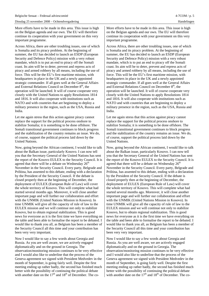More efforts have to be made in this area. This issue is high on the Belgian agenda and our own. The EU will therefore continue its cooperation with your government on this very important programme.

Across Africa, there are other troubling issues, one of which is Somalia and its piracy problem. At the beginning of summer, the EU has decided to launch an ESDP (European Security and Defence Policy) mission with a very robust mandate, which is to put an end to piracy off the Somali coast. Its aim will be to deter, prevent and repress acts of piracy and armed robbery by all means, including the use of force. This will be the EU's first maritime mission, with headquarters in place in the UK and a newly appointed strategic commander. If all goes well at the General Affairs and External Relations Council on December  $8<sup>th</sup>$ , the operation will be launched. It will of course cooperate very closely with the United Nations to apply Resolutions 1814 and 1816. It will also cooperate with institutions such as NATO and with countries that are beginning to deploy a military presence in the region, such as the USA, Russia and India.

Let me again stress that this action against piracy cannot replace the support for the political process onshore to stabilize Somalia; it is something to be done offshore. The Somali transitional government continues to block progress and the stabilization of the country remains an issue. We do, of course, support the political process laid down by the United Nations.

Now, going beyond the African continent, I would like to talk about the Balkan issue, particularly Kosovo. I can now tell you that the Secretary General of the United Nations has sent the report of the Kosovo EULEX to the Security Council. It is agreed that there will be a debate on Wednesday  $26<sup>th</sup>$ November in the Security Council. Every party, Belgrade and Priština, has assented to this debate, ending with a declaration by the President of the Security Council. If the debate is closed properly then at the beginning of December, the deployment of EULEX (European Rule of Law) will cover the whole territory of Kosovo. This will complete what had started several months ago. Moreover, it will close another important page and will further our collaboration and effort with the UNMIK (United Nations Mission in Kosovo). In time UNMIK will give all the capacity of rule of law to the EULEX mission and we will continue not only to stabilize Kosovo, but to obtain regional stabilization. This is good news for everyone as it is the first time we have everything on the table and been able to formalise the report to be debated. I would like to thank you all, as Belgium has been a member of the Security Council all this time and your contribution has been very very important.

Now I would like to say a few words about Georgia and Russia. As you are well aware, we are actively engaged diplomatically and on the ground in Georgia. The observation/monitoring mission continues to be very effective and I would also like to underline that the process of the Geneva agreement we signed with President Medvedev in the month of September, is going fairly well. Despite the first meeting ending up rather badly, the second has finished much better with the possibility of continuing the political debate with another date on the  $17<sup>th</sup>$  and  $18<sup>th</sup>$  of December. The coMore efforts have to be made in this area. This issue is high on the Belgian agenda and our own. The EU will therefore continue its cooperation with your government on this very important programme.

Across Africa, there are other troubling issues, one of which is Somalia and its piracy problem. At the beginning of summer, the EU has decided to launch an ESDP (European Security and Defence Policy) mission with a very robust mandate, which is to put an end to piracy off the Somali coast. Its aim will be to deter, prevent and repress acts of piracy and armed robbery by all means, including the use of force. This will be the EU's first maritime mission, with headquarters in place in the UK and a newly appointed strategic commander. If all goes well at the General Affairs and External Relations Council on December  $8<sup>th</sup>$ , the operation will be launched. It will of course cooperate very closely with the United Nations to apply Resolutions 1814 and 1816. It will also cooperate with institutions such as NATO and with countries that are beginning to deploy a military presence in the region, such as the USA, Russia and India.

Let me again stress that this action against piracy cannot replace the support for the political process onshore to stabilize Somalia; it is something to be done offshore. The Somali transitional government continues to block progress and the stabilization of the country remains an issue. We do, of course, support the political process laid down by the United Nations.

Now, going beyond the African continent, I would like to talk about the Balkan issue, particularly Kosovo. I can now tell you that the Secretary General of the United Nations has sent the report of the Kosovo EULEX to the Security Council. It is agreed that there will be a debate on Wednesday  $26<sup>th</sup>$ November in the Security Council. Every party, Belgrade and Priština, has assented to this debate, ending with a declaration by the President of the Security Council. If the debate is closed properly then at the beginning of December, the deployment of EULEX (European Rule of Law) will cover the whole territory of Kosovo. This will complete what had started several months ago. Moreover, it will close another important page and will further our collaboration and effort with the UNMIK (United Nations Mission in Kosovo). In time UNMIK will give all the capacity of rule of law to the EULEX mission and we will continue not only to stabilize Kosovo, but to obtain regional stabilization. This is good news for everyone as it is the first time we have everything on the table and been able to formalise the report to be debated. I would like to thank you all, as Belgium has been a member of the Security Council all this time and your contribution has been very very important.

Now I would like to say a few words about Georgia and Russia. As you are well aware, we are actively engaged diplomatically and on the ground in Georgia. The observation/monitoring mission continues to be very effective and I would also like to underline that the process of the Geneva agreement we signed with President Medvedev in the month of September, is going fairly well. Despite the first meeting ending up rather badly, the second has finished much better with the possibility of continuing the political debate with another date on the  $17<sup>th</sup>$  and  $18<sup>th</sup>$  of December. The co-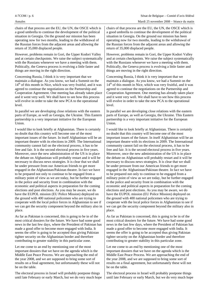4-7COM / p. 6 Sénat de Belgique – Comité d'avis fédéral

chairs of that process are the EU, the UN, the OSCE which is a good umbrella to continue the development of the political situation in Georgia. On the ground our mission has been operating now for two months, leading to the withdrawal of the Russian forces from the adjacent areas and allowing the return of 35,000 displaced people.

However, problems remain in Gori, the Upper Kodori Valley and at certain checkpoints. We raise the subject systematically with the Russians whenever we have a meeting with them. Politically, the Geneva process is evolving a little faster and things are moving in the right direction.

Concerning Russia, I think it is very important that we maintain a dialogue. As you know, we had a Summit on the  $14<sup>th</sup>$  of this month in Nice, which was very fruitful, and it was agreed to continue the negotiations on the Partnership and Cooperation Agreement. One meeting has already taken place and it went very well. We shall have to see how this process will evolve in order to take the new PCA to the operational level.

In parallel we are developing close relations with the eastern parts of Europe, as well as Georgia, the Ukraine. This Eastern partnership is a very important initiative for the European Union.

I would like to look briefly at Afghanistan. There is certainly no doubt that this country will become one of the most important issues of the future. In itself Afghanistan will be an important theatre with its elections in 2009. The International community cannot fail on the electoral process, it has to be free and fair. It is the second electoral process in five years. Moreover, once the new administration of the US is in place the debate on Afghanistan will probably restart and it will be necessary to discuss news strategies. It is clear that we shall be under pressure from our American friends to get more engaged in the Afghanistan/Pakistan theatre. In fact we have to be prepared not only to continue to be engaged from a military point of view as we are today, but be further engaged in the police and security front in combination with the economic and political aspects in preparation for the coming elections and post elections. As you may be aware, we do have the EUPOL mission (EU Police Mission) deployed on the ground with 400 national policemen who are trying to cooperate with the local police forces in Afghanistan to see if we can get the security component beyond the military also in place.

As far as Pakistan is concerned, this is going to be in of the most critical dossiers for the future. We have had some good news in the last few days, where the President of Pakistan has made a good offer to become more engaged with India. It seems the offer is going to be accepted thus giving Pakistan tighter security on the Afghanistan border and therefore contributing to greater stability in this particular zone.

Let me come to an end by mentioning one of the most important dossiers that we have on the agenda which is the Middle East Peace Process. We are approaching the end of the year 2008, and we are supposed to bring some sort of results on a final agreement, but unfortunately these will not be on the table.

The electoral process in Israel will probably postpone things until late February or early March, but we do very much hope chairs of that process are the EU, the UN, the OSCE which is a good umbrella to continue the development of the political situation in Georgia. On the ground our mission has been operating now for two months, leading to the withdrawal of the Russian forces from the adjacent areas and allowing the return of 35,000 displaced people.

However, problems remain in Gori, the Upper Kodori Valley and at certain checkpoints. We raise the subject systematically with the Russians whenever we have a meeting with them. Politically, the Geneva process is evolving a little faster and things are moving in the right direction.

Concerning Russia, I think it is very important that we maintain a dialogue. As you know, we had a Summit on the  $14<sup>th</sup>$  of this month in Nice, which was very fruitful, and it was agreed to continue the negotiations on the Partnership and Cooperation Agreement. One meeting has already taken place and it went very well. We shall have to see how this process will evolve in order to take the new PCA to the operational level.

In parallel we are developing close relations with the eastern parts of Europe, as well as Georgia, the Ukraine. This Eastern partnership is a very important initiative for the European Union.

I would like to look briefly at Afghanistan. There is certainly no doubt that this country will become one of the most important issues of the future. In itself Afghanistan will be an important theatre with its elections in 2009. The International community cannot fail on the electoral process, it has to be free and fair. It is the second electoral process in five years. Moreover, once the new administration of the US is in place the debate on Afghanistan will probably restart and it will be necessary to discuss news strategies. It is clear that we shall be under pressure from our American friends to get more engaged in the Afghanistan/Pakistan theatre. In fact we have to be prepared not only to continue to be engaged from a military point of view as we are today, but be further engaged in the police and security front in combination with the economic and political aspects in preparation for the coming elections and post elections. As you may be aware, we do have the EUPOL mission (EU Police Mission) deployed on the ground with 400 national policemen who are trying to cooperate with the local police forces in Afghanistan to see if we can get the security component beyond the military also in place.

As far as Pakistan is concerned, this is going to be in of the most critical dossiers for the future. We have had some good news in the last few days, where the President of Pakistan has made a good offer to become more engaged with India. It seems the offer is going to be accepted thus giving Pakistan tighter security on the Afghanistan border and therefore contributing to greater stability in this particular zone.

Let me come to an end by mentioning one of the most important dossiers that we have on the agenda which is the Middle East Peace Process. We are approaching the end of the year 2008, and we are supposed to bring some sort of results on a final agreement, but unfortunately these will not be on the table.

The electoral process in Israel will probably postpone things until late February or early March, but we do very much hope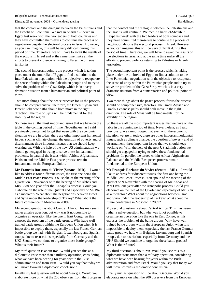that the contact and the dialogue between the Palestinians and the Israelis will continue. We met in Sharm el-Sheikh in Egypt last week with the two leaders of both countries and they have committed themselves to continue the process of negotiation despite the electoral process in Israel. However, as you can imagine, this will be very difficult during this period of time. Therefore, we will have to await the results of the elections in Israel and at the same time make all the efforts to prevent violence returning to Palestine or Israeli territories.

The second important point is the process which is taking place under the umbrella of Egypt to find a solution to the Inter Palestinian negotiation with the objective to recuperate the sense of unity within the Palestinian people and to try to solve the problem of the Gaza Strip, which is in a very dramatic situation from a humanitarian and political point of view.

Two more things about the peace process: for us the process should be comprehensive, therefore, the Israeli /Syrian and Israeli/ Lebanese paths should both move in the right direction. The role of Syria will be fundamental for the stability of the region.

So these are all the most important issues that we have on the table in the coming period of time. Nevertheless, as I said previously, we cannot forget that even with the economic situation we are in today, there are other important horizontal issues, such as climate change, the question of poverty and of disarmament; three important issues that we should keep working on. With the help of the new US administration we should get engaged in trying to solve these fundamental problems. In parallel the issues within Africa, Afghanistan, Pakistan and the Middle East peace process remain fundamental to the European Union.

**Mr François Roelants du Vivier (Senate – MR)**. – I would like to address four different issues, the first one being the Middle East Peace Process. You spoke of the meeting of the Quartet on 9 November with the hearing of Mr Abbas and Mrs Livni one year after the Annapolis process. Could you elaborate on the role of the Quartet and especially of Mr Blair as a mediator? What about the negotiations between Israel and Syria under the leadership of Turkey? What about the future conference in Moscow in 2009?

My second question is about Central Africa. This may seem rather a naive question, but why was it not possible to organize an operation like the one in East Congo, as this exposes the problem of the battle groups. Why have well trained battle groups within the European Union when it is impossible to deploy them, especially the last Franco German battle group we had, with Belgian, Luxembourg and Spanish troops, due to restrictions especially from Germany and the UK? Should we continue to organize these battle groups? What is their future?

My third question is about Iran. Would you see this as a diplomatic issue more than a military operation, considering what we have been hearing for years within the Bush administration and from Israel. Would you say that today we will move towards a diplomatic conclusion?

Finally my last question will be about Georgia. Would you elaborate more on what the 200 observers from the European that the contact and the dialogue between the Palestinians and the Israelis will continue. We met in Sharm el-Sheikh in Egypt last week with the two leaders of both countries and they have committed themselves to continue the process of negotiation despite the electoral process in Israel. However, as you can imagine, this will be very difficult during this period of time. Therefore, we will have to await the results of the elections in Israel and at the same time make all the efforts to prevent violence returning to Palestine or Israeli territories.

The second important point is the process which is taking place under the umbrella of Egypt to find a solution to the Inter Palestinian negotiation with the objective to recuperate the sense of unity within the Palestinian people and to try to solve the problem of the Gaza Strip, which is in a very dramatic situation from a humanitarian and political point of view.

Two more things about the peace process: for us the process should be comprehensive, therefore, the Israeli /Syrian and Israeli/ Lebanese paths should both move in the right direction. The role of Syria will be fundamental for the stability of the region.

So these are all the most important issues that we have on the table in the coming period of time. Nevertheless, as I said previously, we cannot forget that even with the economic situation we are in today, there are other important horizontal issues, such as climate change, the question of poverty and of disarmament; three important issues that we should keep working on. With the help of the new US administration we should get engaged in trying to solve these fundamental problems. In parallel the issues within Africa, Afghanistan, Pakistan and the Middle East peace process remain fundamental to the European Union.

**Mr François Roelants du Vivier (Senate – MR)**. – I would like to address four different issues, the first one being the Middle East Peace Process. You spoke of the meeting of the Quartet on 9 November with the hearing of Mr Abbas and Mrs Livni one year after the Annapolis process. Could you elaborate on the role of the Quartet and especially of Mr Blair as a mediator? What about the negotiations between Israel and Syria under the leadership of Turkey? What about the future conference in Moscow in 2009?

My second question is about Central Africa. This may seem rather a naive question, but why was it not possible to organize an operation like the one in East Congo, as this exposes the problem of the battle groups. Why have well trained battle groups within the European Union when it is impossible to deploy them, especially the last Franco German battle group we had, with Belgian, Luxembourg and Spanish troops, due to restrictions especially from Germany and the UK? Should we continue to organize these battle groups? What is their future?

My third question is about Iran. Would you see this as a diplomatic issue more than a military operation, considering what we have been hearing for years within the Bush administration and from Israel. Would you say that today we will move towards a diplomatic conclusion?

Finally my last question will be about Georgia. Would you elaborate more on what the 200 observers from the European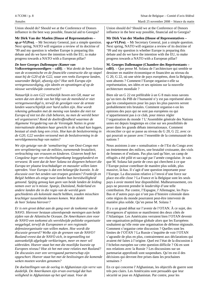Union should do? Should we at the Conference of Donors influence in the best way possible, financial aid to Georgia?

**Mr Dirk Van der Maelen (House of Representatives –**

**sp.a+Vl.Pro)**. – Mr Secretary General, just a simple question. Next spring, NATO will organize a review of its doctrine of '99 and my question is whether Europe is preparing this debate and do we have the intention with the EU, to make progress towards a NATO with a European pillar?

## *De heer Georges Dallemagne (Kamer van*

*Volksvertegenwoordigers – cdH). – Wat denkt de heer Solana van de economische en de financiële constructie die op stapel staat bij de G20 of de G22, waar een reeks Europese landen, waaronder België, afwezig zijn? Hoe stelt Europa zijn vertegenwoordiging, zijn ideeën en opvattingen af op de nieuwe wereldwijde constructie?*

*Natuurlijk is een G22 verkieslijk boven een G8, maar we weten dat een derde van het bbp van de mensheid er niet vertegenwoordigd is, terwijl de gevolgen voor de armste landen waarschijnlijk zeer hard zullen zijn. Hoe wordt rekening gehouden met de mening van landen die niet tot Europa of niet tot die club behoren, nu men de wereld beter wil organiseren? Rond de doeltreffendheid waarmee de Algemene Vergadering van de Verenigde Naties in grote internationale debatten haar gewicht in de schaal kan leggen, bestaat al sinds lang een crisis. Hoe kan de besluitvorming in de G20, G22 worden verzoend met de besluitvorming in de wereldgemeenschap van naties?*

*We zijn getuige van de 'somalisering' van Oost-Congo met een versplintering van de milities, toenemende brutaliteit, verkrachting van vrouwen en kinderen. Gisteren heeft het Congolese leger een vluchtelingenkamp leeggeplunderd en verwoest. Ik weet dat de heer Solana tot diegenen behoort die Europa ter plaatse krachtdadiger en massaler willen laten optreden. Voor Europa is dat een belangrijke kwestie. Is de discussie over het zenden van troepen gesloten? Frankrijk en België hebben als enige twee landen hun bereidwilligheid getoond. Spijtig genoeg kan geen van beide landen de leiding nemen over zo'n missie. Spanje, Duitsland, Nederland en andere landen die in die regio van de wereld geen geschiedenis als koloniale macht hebben, zouden misschien krachtiger tussenbeide kunnen komen. Wat denkt de heer Solana hierover?*

*Er is een groot debat aan de gang over de toekomst van de NAVO. Hierover bestaan uiteenlopende meningen aan beide zijden van de Atlantische Oceaan. De Amerikanen zien voor de NAVO een toekomst als wereldwijde politieke organisatie weggelegd, terwijl de Europeanen er een regionale defensieorganisatie van willen maken. Hoe wordt die discussie gevoerd? Welke zijn de grenzen van de NAVO? Rusland vreest dat de NAVO zich, in tegenstelling tot aanvankelijk afgelegde verklaringen, meer en meer wil uitbreiden. Hoever staat het met die moeilijke kwestie op Europees niveau? Hoe zit het met onze relaties met Rusland? De discussies over een verregaand partnerschap zijn opgeschort. Hoever staat het met de beslissingen die komende weken moeten worden genomen?*

*De doelstellingen van de oorlog in Afghanistan zijn verre van duidelijk. De Amerikanen zijn ervan overtuigd dat hun veiligheid in Afghanistan op het spel staat. Voor de*

Union should do? Should we at the Conference of Donors influence in the best way possible, financial aid to Georgia?

**Mr Dirk Van der Maelen (House of Representatives – sp.a+Vl.Pro)**. – Mr Secretary General, just a simple question. Next spring, NATO will organize a review of its doctrine of '99 and my question is whether Europe is preparing this debate and do we have the intention with the EU, to make progress towards a NATO with a European pillar?

**M. Georges Dallemagne (Chambre des Représentants – cdH)**. – Que pense M. Solana de l'architecture qui semble se dessiner en matière économique et financière au niveau du G 20, G 22, où une série de pays européens, dont la Belgique, sont absents ? Comment l'Europe organise-t-elle sa représentation, ses idées et ses opinions sur la nouvelle architecture mondiale ?

Bien sûr un G 22 est préférable à un G 8 mais nous savons qu'un tiers du PIB de l'humanité n'y est pas représenté alors que les conséquences pour les pays les plus pauvres seront probablement très brutales. Comment organise-t-on les opinions des pays qui ne sont pas européens ou qui n'appartiennent pas à ce club, pour mieux régler l'organisation du monde ? L'Assemblée générale des Nations unies est depuis longtemps en crise sur ses possibilités de peser dans les grands débats internationaux. Comment réconcilier ce qui se passe au niveau du G 20, G 22, avec ce qui pourrait se passer avec l'ensemble de la communauté des nations ?

Nous assistons à une « somalisation » de l'Est du Congo avec un émiettement des milices, une brutalité croissante, des viols de femmes et d'enfants. Pas plus tard qu'hier, un camp de réfugiés a été pillé et saccagé par l'armée congolaise. Je sais que M. Solana fait partie de ceux qui cherchent à ce que l'Europe puisse contribuer de manière plus solide, plus massive, là-bas. Il s'agit d'une question importante pour l'Europe. La discussion relative à l'envoi d'une force sur place est-elle close ? La France et la Belgique sont les seuls pays à avoir montré leur disponibilité. Malheureusement, ces pays ne peuvent prendre le *leadership* d'une telle contribution. Par contre, l'Espagne, l'Allemagne, les Pays-Bas et d'autres pays qui n'ont pas d'histoire coloniale dans cette région du monde pourraient peut-être intervenir de manière plus solide. Qu'en pense M. Solana ?

Il y a un grand débat sur l'avenir de l'OTAN. À ce sujet, des divergences d'opinion se manifestent des deux côtés de l'Atlantique. Les Américains verraient bien l'OTAN devenir une organisation politique globale alors que les Européens souhaitent qu'elle reste une organisation de défense régionale. Comment s'organise cette discussion ? Quelles sont les limites de l'OTAN ? La Russie s'inquiète de voir l'OTAN s'agrandir de plus en plus, contrairement aux déclarations qui avaient été faites à l'origine. Quel est l'état de la discussion à l'échelon européen sur cette question difficile ? Où en sont nos relations avec la Russie ? Les discussions sur un partenariat approfondi sont suspendues. Qu'en est-il des décisions qui devront être prises dans les prochaines semaines ?

En ce qui concerne l'Afghanistan, les objectifs de guerre sont très peu clairs. Les Américains sont persuadés que leur sécurité se joue en Afghanistan. Par contre, pour les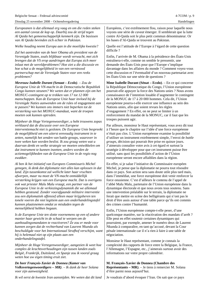*Europeanen is dat allemaal erg vaag en om die reden steken een aantal* caveat *de kop op. Daarbij zou de strijd tegen Al Qaida het gemeenschappelijk kenmerk zijn. De basissen van Al Qaida bevinden zich echter in Pakistan.*

*Welke houding neemt Europa aan in die moeilijke kwestie?*

*Zal het aantreden van de heer Obama als president van de Verenigde Staten, zoals blijkbaar wordt verwacht, met zich brengen dat de VS erop aandringen dat Europa zich meer inlaat met de wereldproblemen? Hoe ziet u die discussie en hoe schat u de mogelijkheid in van een vernieuwd partnerschap met de Verenigde Staten voor een reeks problemen?*

*Mevrouw Isabelle Durant (Senaat – Ecolo). – Zou de Europese Unie de VN-macht in de Democratische Republiek Congo kunnen steunen? We weten dat er plannen zijn om het MONUC-contingent op te trekken van 17 tot 12 000 manschappen. Kan de Europese Unie haar invloed bij de Verenigde Naties aanwenden om de* rules of engagement *aan te passen? We kunnen ons immers niet beperken tot de versterking van het MONUC-mandaat, want de troepen moeten ook kunnen optreden.*

*Mijnheer de Hoge Vertegenwoordiger, u hebt trouwens zopas verklaard dat de discussie over een Europese interventiemacht niet is gesloten. De Europese Unie bespreekt de mogelijkheid om een uiterst eenvoudig instrument in te zetten, namelijk het zenden van* battle groups*, waarover in twee weken kan worden beslist. Ik zou graag weten wat u daarvan denkt en welke strategie we moeten ontwikkelen om dat instrument te kunnen inzetten, anders worden de actiemogelijkheden van de Europese Unie in de regio nog zwakker.*

*Al ben ik het initiatief van Europees Commissaris Michel genegen, ik denk dat diplomatie niet alles kan oplossen in dat land. Zijn tussenkomst zal wellicht later haar vruchten afwerpen, maar nu moet de VN-macht onmiddellijk versterking krijgen van een Europese macht. Dat is overigens ook wat priester Malu Malu vraagt, een partner van de Europese Unie in de verkiezingsdynamiek die we allemaal hebben gesteund. Zonder voorafgaande militaire interventie zou een diplomatiek offensief alleen maar krijgsheren ten tonele voeren die niet legitiem aan een onderhandelingstafel kunnen plaatsnemen omdat ze misdaden tegen de menselijkheid hebben begaan.*

*Is de Europese Unie ten slotte voornemens op een of andere manier haar gewicht in de schaal te werpen om de aanhoudingsmandaten te reactiveren? Ze zou er mede voor kunnen zorgen dat de rechterhand van Laurent Nkunda als beschuldigde voor het Internationaal Strafhof verschijnt, want hij is helemaal niet op zijn plaats aan een onderhandelingstafel.*

*Mijnheer de Hoge Vertegenwoordiger, aangezien ik weet hoe complex de krachtsverhoudingen zijn tussen landen zoals België, Frankrijk, Duitsland, en Spanje zou ik vooral graag weten hoe uw eigen timing eruit ziet.*

*De heer François-Xavier de Donnea (Kamer van Volksvertegenwoordigers – MR). – Ik dank de heer Solana voor zijn aanwezigheid.*

*Ik wil eerst de kwestie Iran aansnijden. We weten dat dit land*

Européens, c'est extrêmement flou, raison pour laquelle nous voyons une série de *caveat* émerger. Il semblerait que la lutte contre Al-Qaida soit le plus petit commun dénominateur. Or les bases d'Al-Qaida se trouvent au Pakistan.

Quelle est l'attitude de l'Europe à l'égard de cette question difficile ?

Enfin, l'arrivée de M. Obama à la présidence des États-Unis entraînera-t-elle, comme on semble le pressentir, une demande des États-Unis pour que l'Europe s'implique davantage dans les affaires du monde ? Comment voyez-vous cette discussion et l'éventualité d'un nouveau partenariat avec les États-Unis sur une série de questions ?

**Mme Isabelle Durant (Sénat – Ecolo)**. – En ce qui concerne la République Démocratique du Congo, l'Union européenne pourrait-elle appuyer la force des Nations unies ? Nous avons connaissance de l'intention louable d'augmenter le contingent de la MONUC de 17 à 20 000 hommes. Cela dit, l'Union européenne pourra-t-elle exercer une influence au sein des Nations unies, afin que soient revues les règles d'engagement ? En effet, on ne peut se limiter à un renforcement du mandat de la MONUC, car il faut que les troupes puissent agir.

Par ailleurs, monsieur le Haut représentant, vous avez dit tout à l'heure que le chapitre sur l'idée d'une force européenne n'était pas clos. L'Union européenne examine la possibilité d'utiliser un instrument extrêmement simple, l'envoi de *battle groups*, décision qui pourrait être prise en quinze jours. J'aimerais connaître votre avis à cet égard et surtout la stratégie à développer pour que cet instrument puisse être utilisé, sans quoi les possibilités d'action de l'Union européenne seront encore affaiblies dans la région.

En effet, si je salue l'initiative du Commissaire européen Michel, je pense que la diplomatie ne pourra tout résoudre dans ce pays. Son action sera sans doute utile plus tard mais, dans l'immédiat, une force européenne doit venir renforcer la force onusienne. C'est d'ailleurs le contenu de l'appel de l'abbé Malu Malu, partenaire de l'Union européenne dans la dynamique électorale et que nous avons tous soutenu. Sans une intervention préalable sur le terrain, la diplomatie ne ferait que mettre en scène des belligérants qui n'ont pas le droit d'être assis autour d'une table parce qu'ils ont commis des crimes contre l'humanité.

Enfin, l'Union européenne compte-t-elle peser, d'une quelconque manière, sur la réactivation des mandats d'arrêt ? Elle peut en effet soutenir certaines dynamiques qui pourraient, par exemple, amener le numéro deux de Laurent Nkunda à comparaître, en tant qu'accusé, devant la Cour pénale internationale car il n'a rien à faire à une table de négociation.

Monsieur le Haut représentant, comme je connais la complexité des rapports de force entre la Belgique, la France, l'Allemagne, l'Espagne, etc., j'aimerais surtout avoir des informations sur votre propre calendrier.

**M. François-Xavier de Donnea (Chambre des Représentants – MR)**. – Je tiens à remercier M. Solana d'être parmi nous aujourd'hui.

Je voudrais d'abord évoquer l'Iran. On sait que ce pays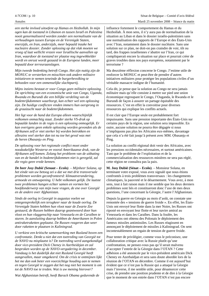*een sterke invloed uitoefent op Hamas en Hezbollah. In mijn ogen kan de toestand in Libanon en tussen Israël en Palestina nooit genormaliseerd worden zonder een normalisatie van de verhoudingen tussen Europa en de Verenigde Staten, enerzijds, en Iran, anderzijds, meer bepaald inzake het nucleaire dossier. Zonder oplossing op dat vlak moeten we vroeg of laat wellicht vrezen voor Israëlische aanvallen op Iran, waardoor de toestand ter plaatse nog ingewikkelder wordt en onrust wordt gezaaid in de Europese landen, meer bepaald door terreuraanslagen.*

*Mijn tweede bedenking betreft Congo. Het zijn nuttig zijn de MONUC te versterken en misschien ook andere militaire initiatieven te nemen teneinde de burgerbevolking te behoeden voor een onmenselijke slachtpartij.*

*Mijns inziens bestaat er voor Congo geen militaire oplossing. De oprichting van een economische unie van Congo, Uganda, Rwanda en Burundi die een billijke verdeling van de bodemrijkdommen waarborgt, kan echter wel een oplossing zijn. De huidige conflicten vinden immers hun oorsprong in de graaizucht naar de bodemrijkdommen.*

*Het ligt voor de hand dat Europa alleen waarschijnlijk volkomen onmachtig staat. Zonder sterke VS-druk op bepaalde landen in de regio is een oplossing onmogelijk. Er kan overigens geen enkele oplossing worden gevonden als de Afrikanen zelf er niet sterker bij worden betrokken en alleszins veel sterker dan tot nu toe het geval was met de heren* Ọ*basanj*ọ *en Ping.*

*De oplossing voor het regionale conflict moet onder noodzakelijke Westerse en vooral Amerikaanse druk, van de Afrikanen zelf komen. Zolang het probleem van de uitbating van en de handel in bodemrijkdommen niet is geregeld, zal die regio geen vrede kennen.*

*De heer Josy Dubié (Senaat – Ecolo). – Mijnheer Solana, op het einde van uw betoog zei u dat we met drie transversale problemen worden geconfronteerd: klimaatverandering, armoede en ontwapening. U hebt volkomen gelijk. De laatste twee problemen hangen echter samen en vormen het hoofdonderwerp van mijn twee vragen, de ene over Georgië en de andere over Afghanistan.*

*Sinds de oorlog in Georgië in augustus voelen we ontegensprekelijk een terugkeer naar de koude oorlog. De Verenigde Staten hebben hun vloot naar de Zwarte Zee gestuurd, de Russen hebben daarop geantwoord door hun vloot en hun vlaggenschip naar Venezuela en de Caraïben te sturen. In aansluiting daarop hebben de Amerikanen in Polen antiraketraketten geplaatst. De Russen reageren dan weer door raketten te plaatsen in Kaliningrad.*

*U verkiest een kritische samenwerking met Rusland boven een confrontatie. Denkt u niet dat een toetreding van Georgië tot de NAVO nu misplaatst is? De toetreding werd aangekondigd door vice-president Dick Cheney in Azerbeidzjan en zal besproken worden op de NAVO-vergadering in december. Vandaag is het duidelijk dat niet Rusland Georgië heeft aangevallen, maar omgekeerd. Om de crisis te ontmijnen lijkt het me dan ook beter een voorzichtige houding aan te nemen en tegen Georgië te zeggen dat het nog niet het moment is om tot de NAVO toe te treden. Wat is uw mening hierover?*

*Wat Afghanistan betreft, heeft Barack Obama gedurende de*

influence fortement le comportement du Hamas et du Hezbollah. À mon sens, il n'y aura pas de normalisation de la situation au Liban et dans le dossier israélo-palestinien sans une normalisation des rapports de l'Europe et des États-Unis avec l'Iran, notamment dans le dossier nucléaire. Sans une solution sur ce plan, ne doit-on pas craindre de voir, tôt ou tard, des frappes israéliennes s'abattre sur l'Iran, ce qui compliquerait encore la situation sur place et pourrait créer de graves troubles dans nos pays européens, notamment par le terrorisme ?

Ma deuxième réflexion concerne le Congo. J'estime utile de renforcer la MONUC et peut-être de prendre d'autres initiatives militaires pour protéger les populations civiles d'un véritable massacre indigne de l'humanité.

Cela dit, je pense que la solution au Congo ne sera jamais militaire mais qu'elle consiste à mettre sur pied une union économique regroupant le Congo, l'Ouganda, le Rwanda et le Burundi de façon à assurer un partage équitable des ressources. C'est en effet la convoitise pour diverses ressources qui explique les conflits actuels.

Il est clair que l'Europe seule est probablement fort impuissante. Sans une pression importante des États-Unis sur certains pays de la région, une solution sera impossible. En outre, aucune solution ne pourra être dégagée si nous n'impliquons pas plus les Africains eux-mêmes, davantage que cela n'a été fait jusqu'à présent avec MM. Ọbasanjọ et Ping.

La solution au conflit régional doit venir des Africains, avec les pressions occidentales nécessaires, et surtout américaines. Tant que le problème de l'exploitation et de la commercialisation des ressources minières ne sera pas réglé, cette région ne connaîtra pas la paix.

**M. Josy Dubié (Sénat – Ecolo)**. – Monsieur Solana, en terminant votre exposé, vous avez signalé que nous étions confrontés à trois problèmes transversaux : les changements climatiques, la pauvreté et le désarmement. Vous avez, à mon sens, tout à fait raison mais il me semble que les deux derniers problèmes sont liés et constitueront donc l'axe de mes deux questions, l'une concernant la Géorgie, l'autre l'Afghanistan.

Depuis la guerre en Géorgie au mois d'août, on constate une remontée des « tensions de guerre froide ». En effet, les États-Unis ont envoyé leur flotte dans la mer Noire, les Russes ont riposté en envoyant leur flotte et leur navire amiral au Venezuela et dans les Caraïbes. Dans la foulée, les Américains ont obtenu des Polonais le déploiement des fameux missiles antimissiles. Les Russes réagissent en annonçant le déploiement de missiles à Kaliningrad. On sent incontestablement un regain de tension de guerre froide.

Pour tenter de privilégier, comme vous le préconisez, une collaboration critique avec la Russie plutôt qu'une confrontation, ne pensez-vous pas qu'il serait malvenu d'accepter l'entrée de la Géorgie dans l'OTAN ? Cette adhésion a été annoncée par le vice-président américain Dick Cheney en Azerbaïdjan et sera sans doute abordée lors de la réunion de l'OTAN en décembre. Comme il est aujourd'hui évident que ce n'est pas la Russie qui a attaqué la Géorgie mais l'inverse, il me semble utile, pour désamorcer cette crise, de prendre une position prudente et de dire à la Géorgie que le moment de son entrée dans l'OTAN n'est pas encore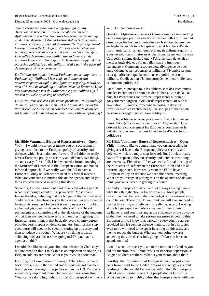*gehele verkiezingscampagne aangekondigd dat hij Amerikaanse troepen uit Irak wil weghalen om ze in Afghanistan in te zetten. Nochtans beweren alle deskundigen en de Amerikaanse, Britse en Franse stafchefs dat er geen militaire oplossing is voor Afghanistan. De Franse generaal Georgelin zei zelfs dat Afghanistan een niet te beheersen puinhoop wordt waar we ons niet meer moeten in mengen. Hoe zullen de meningsverschillen tussen Obama en de militaire leiders worden opgelost? De meesten zeggen dat de oplossing politiek is en niet militair. Welke politieke actie zal de Europese Unie ondernemen?*

*De Taliban zijn bijna allemaal Pathanen, maar lang niet alle Pathanen zijn Taliban. Meer zelfs, de Pathanen zijn ondervertegenwoordigd in de Afghaanse regering, terwijl ze toch 40% van de bevolking uitmaken. Moet de Europese Unie niet samenwerken met de Pathanen die geen Taliban zijn, k om een politieke oplossing te bereiken?*

*Dit is trouwens ook een Pakistaans probleem. Het is duidelijk dat de Al Qaida-basissen zich niet in Afghanistan bevinden. Wat moeten de Europeanen concreet doen om Pakistan een rol te laten spelen in het zoeken naar een politieke oplossing?*

## **Ms Hilde Vautmans (House of Representatives – Open**

**Vld)**. – I would like to congratulate you on succeeding in giving a real face to the European policy of security and defence, which is a major step forward. But I think to really have a European policy on security and defence, two things are necessary. First of all, I feel we need a formal meeting of the Ministers of Defence in the European Union and not an informal approach. If we really want the EU to have a European Policy on defence we need this formal meeting. What are your steps in putting this on the agenda and do you think you can succeed in getting this done?

Secondly, Europe carried out a lot of surveys asking people what they thought about a European army. Most people favour the idea, believing that the budget of the national army could be less. Therefore, do you think we will ever succeed in having this army, as I believe it is really necessary. Looking at the budgets spent on defence matters of the different parliaments and countries and at the efficiency of the outcome of that then we need to take serious measures in getting this European army. I know that basically every country agrees provided less is spent on defence matters, but in a first step even more will need to be spent in setting up this army and then to reduce the budget. What are you doing towards achieving this, are discussions going on? Do you have an agenda on this?

I would also like to ask you about the mission in Chad as you did not mention this. I think this is an important operation, as Belgian soldiers are there. What is your vision about that?

Fourthly, the Commission of Foreign Affairs has just come back from a visit to the United Nations and we got excellent briefings on the weight Europe has within the UN. Europe is indeed very important there. But people do not know this. What can we do to highlight this, that Europe speaks with one

## venu. Qu'en pensez-vous ?

Quant à l'Afghanistan, Barack Obama a annoncé tout au long de la campagne pour les élections présidentielles qu'il voulait désengager les troupes américaines en Irak pour les envoyer en Afghanistan. Or tous les spécialistes et les chefs d'étatmajor américains, britanniques et français affirment qu'il n'y a pas de solution militaire en Afghanistan. Le général français Georgelin a même déclaré que « l'Afghanistan devenait un merdier ingérable et qu'il ne fallait pas s'y impliquer davantage ». Comment résoudre cette divergence de vues entre Obama et les responsables militaires ? Nombreux sont ceux qui affirment que la solution sera politique et non militaire. Quelle action l'Union européenne mène-t-elle dans ce domaine politique ?

Par ailleurs, si presque tous les talibans sont des Pachtounes, tous les Pachtounes ne sont pas des talibans. Loin de là. De plus, les Pachtounes sont très peu représentés au sein du gouvernement afghan, alors qu'ils représentent 40% de la population. L'Union européenne ne doit-elle donc pas travailler avec les Pachtounes qui ne sont pas talibans pour parvenir à dégager une solution politique ?

Enfin, le problème est aussi pakistanais. Il est clair que les bases d'Al-Qaida ne se trouvent pas en Afghanistan. Que doivent faire concrètement les Européens pour amener le Pakistan à jouer son rôle dans la recherche d'une solution politique ?

**Ms Hilde Vautmans (House of Representatives – Open Vld)**. – I would like to congratulate you on succeeding in giving a real face to the European policy of security and defence, which is a major step forward. But I think to really have a European policy on security and defence, two things are necessary. First of all, I feel we need a formal meeting of the Ministers of Defence in the European Union and not an informal approach. If we really want the EU to have a European Policy on defence we need this formal meeting. What are your steps in putting this on the agenda and do you think you can succeed in getting this done?

Secondly, Europe carried out a lot of surveys asking people what they thought about a European army. Most people favour the idea, believing that the budget of the national army could be less. Therefore, do you think we will ever succeed in having this army, as I believe it is really necessary. Looking at the budgets spent on defence matters of the different parliaments and countries and at the efficiency of the outcome of that then we need to take serious measures in getting this European army. I know that basically every country agrees provided less is spent on defence matters, but in a first step even more will need to be spent in setting up this army and then to reduce the budget. What are you doing towards achieving this, are discussions going on? Do you have an agenda on this?

I would also like to ask you about the mission in Chad as you did not mention this. I think this is an important operation, as Belgian soldiers are there. What is your vision about that?

Fourthly, the Commission of Foreign Affairs has just come back from a visit to the United Nations and we got excellent briefings on the weight Europe has within the UN. Europe is indeed very important there. But people do not know this. What can we do to highlight this, that Europe speaks with one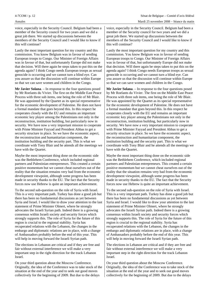voice, especially in the Security Council. Belgium had been a member of the Security council for two years and we did a great job there. We started up discussions between the members of the Security Council and I would like to know if this will continue?

Lastly the most important question for my country and this commission. You know Belgium was in favour of sending European troops to Congo. Our Minister of Foreign Affairs was in favour of that, but unfortunately Europe did not make that decision. Will there again be steps taken to put this on the agenda again? I think Congo needs European troops as sexual genocide is occurring and we cannot turn a blind eye. Can you assure us that the discussion will continue within Europe so that we can save women and children in the Congo.

**Mr Javier Solana**. – In response to the four questions posed by Mr Roelants du Vivier. The first on the Middle East Peace Process with three sub items, one being the role of Mr Blair. He was appointed by the Quartet as its special representative for the economic development of Palestine. He does not have a formal mandate that goes beyond this. In this respect he cooperates closely with the EU and remains an important economic key player among the Palestinians not only in the reconstruction, institution building, but particularly now in security. We have now a very important mission to cooperate with Prime Minister Fayyad and President Abbas to get a security structure in place. So we have the economic aspect, the reconstruction and humanitarian component, the institution building and the security part. This is what we coordinate with Tony Blair and he attends all the meetings we have with the Quartet.

Maybe the most important thing done on the economic side was the Bethlehem Conference, which included regional partners and Palestinian entrepreneurs. This created a certain positive momentum but we cannot cheat ourselves out of the reality that the situation remains very bad from the economic development viewpoint, although some progress has been made in security thanks to the EU. The fact that the Security forces now use Hebrew is quite an important achievement.

To the second sub-question on the role of Syria with Israel. This is a very important path. Turkey has done a good job but there has been no fundamental discussions as yet between Syria and Israel. I would like to draw your attention to the last statement of Prime Minister Olmert, where he strongly advocates the Israeli Syrian path. Indeed there is a growing consensus within Israeli society and security forces which strongly supports this. The role of Syria for the future of this region is crucial to the regional stability. Syria has recuperated relations with the Lebanon, the changes in the embargo and diplomatic relations are in place, with a change of Ambassadors probably before the end of this year. This will help in moving forward the Israeli Syrian path.

The elections in Lebanon are critical and if they are free and fair without external interference we will make a very important step in the right direction for the track Lebanon Israel.

On your third question about the Moscow Conference. Originally, the idea of the Conference was to take stock of the situation at the end of the year and to seek out good moves collectively for the beginning of 2009. But due to the delays

voice, especially in the Security Council. Belgium had been a member of the Security council for two years and we did a great job there. We started up discussions between the members of the Security Council and I would like to know if this will continue?

Lastly the most important question for my country and this commission. You know Belgium was in favour of sending European troops to Congo. Our Minister of Foreign Affairs was in favour of that, but unfortunately Europe did not make that decision. Will there again be steps taken to put this on the agenda again? I think Congo needs European troops as sexual genocide is occurring and we cannot turn a blind eye. Can you assure us that the discussion will continue within Europe so that we can save women and children in the Congo.

**Mr Javier Solana**. – In response to the four questions posed by Mr Roelants du Vivier. The first on the Middle East Peace Process with three sub items, one being the role of Mr Blair. He was appointed by the Quartet as its special representative for the economic development of Palestine. He does not have a formal mandate that goes beyond this. In this respect he cooperates closely with the EU and remains an important economic key player among the Palestinians not only in the reconstruction, institution building, but particularly now in security. We have now a very important mission to cooperate with Prime Minister Fayyad and President Abbas to get a security structure in place. So we have the economic aspect, the reconstruction and humanitarian component, the institution building and the security part. This is what we coordinate with Tony Blair and he attends all the meetings we have with the Quartet.

Maybe the most important thing done on the economic side was the Bethlehem Conference, which included regional partners and Palestinian entrepreneurs. This created a certain positive momentum but we cannot cheat ourselves out of the reality that the situation remains very bad from the economic development viewpoint, although some progress has been made in security thanks to the EU. The fact that the Security forces now use Hebrew is quite an important achievement.

To the second sub-question on the role of Syria with Israel. This is a very important path. Turkey has done a good job but there has been no fundamental discussions as yet between Syria and Israel. I would like to draw your attention to the last statement of Prime Minister Olmert, where he strongly advocates the Israeli Syrian path. Indeed there is a growing consensus within Israeli society and security forces which strongly supports this. The role of Syria for the future of this region is crucial to the regional stability. Syria has recuperated relations with the Lebanon, the changes in the embargo and diplomatic relations are in place, with a change of Ambassadors probably before the end of this year. This will help in moving forward the Israeli Syrian path.

The elections in Lebanon are critical and if they are free and fair without external interference we will make a very important step in the right direction for the track Lebanon Israel.

On your third question about the Moscow Conference. Originally, the idea of the Conference was to take stock of the situation at the end of the year and to seek out good moves collectively for the beginning of 2009. But due to the delays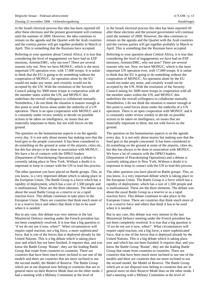in the Israeli electoral process this idea has been reported till after these elections and the present government will continue until the summer of 2009. However, the idea continues to remain on the agenda and the Quartet with the Arab countries and the various parties will get together probably in March or April. This is something that the Russians have accepted.

Referring to your question about Central Africa, it is true that considering the level of engagements we have had on ESP missions, Artemis/DRC, why not now? There are several reasons why not. Now we have MONUC, which is the most important UN operation ever, with 17,000 troops. It is unfair to think that the EU is going to do something without the cooperation of MONUC. An operation alone by the EU would not make any sense, and certainly would not be accepted by the UN. With the resolution of the Security Council asking for 3000 more troops in cooperation with all the member states within the UN, and MONUC this underlines the overall willingness to collaborate mutually. Nonetheless, I do not think the situation is mature enough at this point to send forces alone under the umbrella of a UN operation. There is an open cooperation with MONUC and it is constantly under review weekly to decide on possible actions to be taken on intelligence, on issues that are materially important to them, but not with forces on the ground.

The question on the humanitarian aspects is on the agenda every day. It is not only about money but making sure that the food gets to the people concerned. It has been considered to do something on the ground at some of the airports, cities etc, but this has always to be done in association with MONUC. We have a lot of contacts with the DPKO leaders (Department of Peacekeeping Operations) and a debate is currently taking place in New York. Without a doubt it is important to keep in contact with the UN to lead this process.

The other question you have placed on Battle groups. This, as you know, is a very important debate which is taking place in the European Union. The Battle Group is a force which has a rapidity of deployment, which has a size of 1,500 people and is multinational. These are the three elements. The debate was about the usual Battle Group as a reserve or as a rapid reaction force. This debate continues to take place in the European Union. There are countries that think much more of it as a reserve force and others that think it has to be used when it is needed.

But in any case, this debate was very intense in the last Ministerial Defence meeting under the French president has not been completely resolved. It is true that a big question is 'if we do not use it now, when?'. What circumstances will require rapid reaction, not a big force, a more sophisticated force, that is one of the forces that is deployed already by the United Nations. This is a big debate which is taking place now and which has not been finished. It requires that, and you know the Battle Group 'Rotate', they are the leading Battle Group that rotate from countries to countries. There are countries that have been much more inclined to use one of the models and there are countries that are more inclined to use the second model, the Model of Reserve. The Battle Group which are at our disposal now belong to countries that are in general more on their Reserve Mode than on the other mode. I had a meeting with a Military Committee at the level of

in the Israeli electoral process this idea has been reported till after these elections and the present government will continue until the summer of 2009. However, the idea continues to remain on the agenda and the Quartet with the Arab countries and the various parties will get together probably in March or April. This is something that the Russians have accepted.

Referring to your question about Central Africa, it is true that considering the level of engagements we have had on ESP missions, Artemis/DRC, why not now? There are several reasons why not. Now we have MONUC, which is the most important UN operation ever, with 17,000 troops. It is unfair to think that the EU is going to do something without the cooperation of MONUC. An operation alone by the EU would not make any sense, and certainly would not be accepted by the UN. With the resolution of the Security Council asking for 3000 more troops in cooperation with all the member states within the UN, and MONUC this underlines the overall willingness to collaborate mutually. Nonetheless, I do not think the situation is mature enough at this point to send forces alone under the umbrella of a UN operation. There is an open cooperation with MONUC and it is constantly under review weekly to decide on possible actions to be taken on intelligence, on issues that are materially important to them, but not with forces on the ground.

The question on the humanitarian aspects is on the agenda every day. It is not only about money but making sure that the food gets to the people concerned. It has been considered to do something on the ground at some of the airports, cities etc, but this has always to be done in association with MONUC. We have a lot of contacts with the DPKO leaders (Department of Peacekeeping Operations) and a debate is currently taking place in New York. Without a doubt it is important to keep in contact with the UN to lead this process.

The other question you have placed on Battle groups. This, as you know, is a very important debate which is taking place in the European Union. The Battle Group is a force which has a rapidity of deployment, which has a size of 1,500 people and is multinational. These are the three elements. The debate was about the usual Battle Group as a reserve or as a rapid reaction force. This debate continues to take place in the European Union. There are countries that think much more of it as a reserve force and others that think it has to be used when it is needed.

But in any case, this debate was very intense in the last Ministerial Defence meeting under the French president has not been completely resolved. It is true that a big question is 'if we do not use it now, when?'. What circumstances will require rapid reaction, not a big force, a more sophisticated force, that is one of the forces that is deployed already by the United Nations. This is a big debate which is taking place now and which has not been finished. It requires that, and you know the Battle Group 'Rotate', they are the leading Battle Group that rotate from countries to countries. There are countries that have been much more inclined to use one of the models and there are countries that are more inclined to use the second model, the Model of Reserve. The Battle Group which are at our disposal now belong to countries that are in general more on their Reserve Mode than on the other mode. I had a meeting with a Military Committee at the level of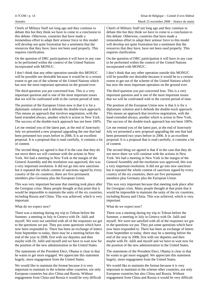Chiefs of Military Staff not long ago and they continue to debate this but they think we have to come to a conclusion to this debate. Otherwise, countries that have made a tremendous effort to adapt their armour force to this model will develop not quite frustration but a sentiment that the resources that they have, have not been used properly. This requires clarification.

On the question of DRC participation it will have in any case to be performed within the context of the United Nations incorporated with MONUC.

I don't think that any other operation outside this MONUC will be possible nor desirable because it would be to a certain extent to get out of the scheme of the United Nations which has now the most important operation on the ground ever.

The third question you put concerned Iran. This is a very important question and is one of the most important issues that we will be confronted with in the current period of time.

The position of the European Union now is that it is for a diplomatic solution and it defends the double-track approach. This means an approach that involves negotiation, with the hand extended always, another which is action in New York. The success of the double-track approach has not been 100%.

Let me remind you of the latest part, at the end of June/early July we presented a new proposal upgrading the one that had been presented two years before in 2006. It is an excellent proposal. It is a proposal that is read carefully, it contains a lot of content.

The second thing we agreed is that if in the case that they do not move there we will continue with the actions in New York. We had a meeting in New York in the margin of the General Assembly and the resolution was approved, this was a very important resolution. It did not go into new sanctions but it repeated the whole content of sanctions signed by every country of the six countries, there are five permanent members plus Germany plus the European Union.

This was very important because that meeting took place after the Georgian crisis. Many people thought at that point that it would be impossible to maintain the unity of the six countries, including Russia and China. This was achieved, which is very important.

What do we expect now?

There was a meeting during my trip to Tehran before the Summer, a meeting in July in Geneva with Dr. Jalili and myself. We were not satisfied with all of the responses we got to the questions we put. They put some questions which have now been responded to. There has been an exchange of letters from September to today, there may be a meeting before the end of the year in 2008, first with our deputies and then maybe with Dr. Jalili and myself and we have to wait now for the position of the new administration in the United States.

The statements of the President Elect, Obama is clear in that he wants to get more engaged. We appreciate this statement hugely, more engagement from the United States.

We would like to maintain the format because it is very important to maintain in the scheme other countries, not only European countries but also China and Russia. Without engagement from China and Russia it would be very difficult Chiefs of Military Staff not long ago and they continue to debate this but they think we have to come to a conclusion to this debate. Otherwise, countries that have made a tremendous effort to adapt their armour force to this model will develop not quite frustration but a sentiment that the resources that they have, have not been used properly. This requires clarification.

On the question of DRC participation it will have in any case to be performed within the context of the United Nations incorporated with MONUC.

I don't think that any other operation outside this MONUC will be possible nor desirable because it would be to a certain extent to get out of the scheme of the United Nations which has now the most important operation on the ground ever.

The third question you put concerned Iran. This is a very important question and is one of the most important issues that we will be confronted with in the current period of time.

The position of the European Union now is that it is for a diplomatic solution and it defends the double-track approach. This means an approach that involves negotiation, with the hand extended always, another which is action in New York. The success of the double-track approach has not been 100%.

Let me remind you of the latest part, at the end of June/early July we presented a new proposal upgrading the one that had been presented two years before in 2006. It is an excellent proposal. It is a proposal that is read carefully, it contains a lot of content.

The second thing we agreed is that if in the case that they do not move there we will continue with the actions in New York. We had a meeting in New York in the margin of the General Assembly and the resolution was approved, this was a very important resolution. It did not go into new sanctions but it repeated the whole content of sanctions signed by every country of the six countries, there are five permanent members plus Germany plus the European Union.

This was very important because that meeting took place after the Georgian crisis. Many people thought at that point that it would be impossible to maintain the unity of the six countries, including Russia and China. This was achieved, which is very important.

What do we expect now?

There was a meeting during my trip to Tehran before the Summer, a meeting in July in Geneva with Dr. Jalili and myself. We were not satisfied with all of the responses we got to the questions we put. They put some questions which have now been responded to. There has been an exchange of letters from September to today, there may be a meeting before the end of the year in 2008, first with our deputies and then maybe with Dr. Jalili and myself and we have to wait now for the position of the new administration in the United States.

The statements of the President Elect, Obama is clear in that he wants to get more engaged. We appreciate this statement hugely, more engagement from the United States.

We would like to maintain the format because it is very important to maintain in the scheme other countries, not only European countries but also China and Russia. Without engagement from China and Russia it would be very difficult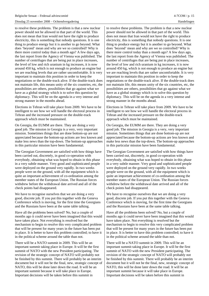to resolve these problems. The problem is that a new nuclear power should not be allowed in that part of the world. This does not mean that Iran would not have the right to produce electricity, this is something that nobody questions. It is one thing to produce energy but it is another to go beyond. What does 'beyond' mean and why are we so controlled? Why is there more control today than a month ago? A few days ago, the last report from the Agency of Vienna was published. The number of centrifuges that are being put in place increases, the level of low and rich uranium in kg increases, it is now around 450 kg, which is not enough to produce an engine but we are reaching levels that are rather uncomfortable. It is very important to maintain this position in order to keep the negotiations or the double-track alive. If the double-track does not maintain life, this means unity of the six countries, etc, the possibilities are others, possibilities that go against what we have as a global strategy which is to solve this question by diplomacy. This will be on the agenda in a very intense and strong manner in the months ahead.

Elections in Tehran will take place from 2009. We have to be intelligent to see how we will handle the electoral process in Tehran and the increased pressure on the double-track approach which must be maintained.

On Georgia, the EUMM are there. They are doing a very good job. The mission in Georgia is a very, very important mission. Sometimes things that are done bottom-up are not appreciated because the bottom-up actions are less known and make less news than the top-down. The bottom-up approaches in this particular mission have been fundamental.

The Georgian Government are satisfied with how things have been carried out, discretely, in good co-operation with everybody, obtaining what was hoped to obtain in this phase in a very subtle manner. Very good and sophisticated people were deployed on the ground very rapidly. In two weeks people were on the ground, with all the equipment which is quite an important achievement of co-ordination among the member states of the European Union. The Russian forces withdrew before the withdrawal date arrived and all of the check points had disappeared.

We have to recognise ourselves that we are doing a very good, discrete job. If you put this together with the Geneva Conference which is moving, for the first time the Georgians and the Russians have been at the same table talking.

Have all the problems been solved? No, but a couple of months ago it could never have been imagined that this would have taken place. Not everything is resolved but the mechanism to begin to resolve this very complicated problem that will be present for many years in the future has been put in place. It is better to have this problem controlled; to have it in the political scheme around the table than not.

There will be a NATO summit in 2009. This will be an important summit taking place in Europe. It will be the first summit of NATO with the new President participating. The revision of the strategic concept of NATO will probably not be finished by this summit. There will probably be an interim document but it will not be the final, new, strategic concept of NATO, this will be done later down the road. It will be an important summit because it will take place in Europe. Important decisions will be taken before this summit in

to resolve these problems. The problem is that a new nuclear power should not be allowed in that part of the world. This does not mean that Iran would not have the right to produce electricity, this is something that nobody questions. It is one thing to produce energy but it is another to go beyond. What does 'beyond' mean and why are we so controlled? Why is there more control today than a month ago? A few days ago, the last report from the Agency of Vienna was published. The number of centrifuges that are being put in place increases, the level of low and rich uranium in kg increases, it is now around 450 kg, which is not enough to produce an engine but we are reaching levels that are rather uncomfortable. It is very important to maintain this position in order to keep the negotiations or the double-track alive. If the double-track does not maintain life, this means unity of the six countries, etc, the possibilities are others, possibilities that go against what we have as a global strategy which is to solve this question by diplomacy. This will be on the agenda in a very intense and strong manner in the months ahead.

Elections in Tehran will take place from 2009. We have to be intelligent to see how we will handle the electoral process in Tehran and the increased pressure on the double-track approach which must be maintained.

On Georgia, the EUMM are there. They are doing a very good job. The mission in Georgia is a very, very important mission. Sometimes things that are done bottom-up are not appreciated because the bottom-up actions are less known and make less news than the top-down. The bottom-up approaches in this particular mission have been fundamental.

The Georgian Government are satisfied with how things have been carried out, discretely, in good co-operation with everybody, obtaining what was hoped to obtain in this phase in a very subtle manner. Very good and sophisticated people were deployed on the ground very rapidly. In two weeks people were on the ground, with all the equipment which is quite an important achievement of co-ordination among the member states of the European Union. The Russian forces withdrew before the withdrawal date arrived and all of the check points had disappeared.

We have to recognise ourselves that we are doing a very good, discrete job. If you put this together with the Geneva Conference which is moving, for the first time the Georgians and the Russians have been at the same table talking.

Have all the problems been solved? No, but a couple of months ago it could never have been imagined that this would have taken place. Not everything is resolved but the mechanism to begin to resolve this very complicated problem that will be present for many years in the future has been put in place. It is better to have this problem controlled; to have it in the political scheme around the table than not.

There will be a NATO summit in 2009. This will be an important summit taking place in Europe. It will be the first summit of NATO with the new President participating. The revision of the strategic concept of NATO will probably not be finished by this summit. There will probably be an interim document but it will not be the final, new, strategic concept of NATO, this will be done later down the road. It will be an important summit because it will take place in Europe. Important decisions will be taken before this summit in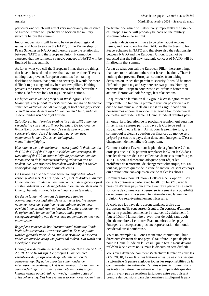particular one which will affect very importantly the essence of Europe. France will probably be back on the military structure before the summit.

Important decisions will have to be taken about regional issues, and how to evolve the EAPC, or the Partnership for Peace Schemes in NATO and therefore also the relationship between NATO and the European Union. It cannot be expected that the full new, strategic concept of NATO will be finalised in that summit.

As far as what you call the European Pillar, there are things that have to be said and others that have to be done. There is nothing that prevents European countries from taking decisions on issues that pertain to security. It would be more difficult to put a tag and say here are two pillars. Nothing prevents the European countries to co-ordinate better their actions. Before we look for tags, lets take actions.

*De bijeenkomst van de groep G in Washington is heel belangrijk. Het feit dat de eerste vergadering na de financiële crisis het kader van de G8 overstijgt, is heel belangrijk voor onszelf en voor de hele wereld. We moeten China, India en andere landen rond de tafel krijgen.*

*Zuid-Korea, het Verenigd Koninkrijk en Brazilië zullen de vergadering van eind april voorbereiden. De top over de financiële problemen zal voor de eerste keer worden voorbereid door deze drie landen, waaronder twee opkomende landen. Dat is een belangrijke mentaliteitswijziging.*

*Hoe moeten we in de toekomst te werk gaan? Ik denk niet dat de G20 de G7 of de G8 op alle vlakken kan vervangen. Ik weet niet of de G20 in staat zal zijn de problemen van het terrorisme en de klimaatsverandering adequaat aan te pakken. De G20 moet wel betrokken worden bij het zoeken naar oplossingen voor de financiële crisis.*

*De Europese Unie heeft twee keuzemogelijkheden: ofwel verder praten met de G8+ of de G7+, met de druk van andere landen die deel zouden willen uitmaken van deze groep, ofwel ernstig nadenken over de mogelijkheid om met de stem van de Unie op het internationale toneel naar voren te treden.*

*De derde landen vinden dat de Europese landen oververtegenwoordigd zijn. De druk neemt toe. We moeten nadenken over de vraag hoe we met minder leden meer gewicht in de schaal kunnen leggen. De andere lidstaten en de opkomende landen zullen immers zulke grote vertegenwoordiging van de westerse mogendheden niet meer aanvaarden.*

*Ik geef een voorbeeld: het Internationaal Monetair Fonds heeft acht directeurs uit westerse landen. Er moet plaats worden gemaakt voor China, India of Brazilië. We moeten nadenken over de vraag wie plaats zal maken. Dat wordt een moeilijke discussie.*

*U vroeg hoe de relatie tussen de Verenigde Naties en de G22, 20, 18, 17 of 16 zal zijn. De groepen G kunnen niet verantwoordelijk zijn voor de gehele internationale gemeenschap. Bepaalde aspecten vallen onder de internationale verdragen. Het is ondenkbaar dat landen die geen onderlinge juridische relatie hebben, beslissingen kunnen nemen op het vlak van vrede, militaire acties of crisisbeheersing. Dat kan eventueel worden overwogen in het* particular one which will affect very importantly the essence of Europe. France will probably be back on the military structure before the summit.

Important decisions will have to be taken about regional issues, and how to evolve the EAPC, or the Partnership for Peace Schemes in NATO and therefore also the relationship between NATO and the European Union. It cannot be expected that the full new, strategic concept of NATO will be finalised in that summit.

As far as what you call the European Pillar, there are things that have to be said and others that have to be done. There is nothing that prevents European countries from taking decisions on issues that pertain to security. It would be more difficult to put a tag and say here are two pillars. Nothing prevents the European countries to co-ordinate better their actions. Before we look for tags, lets take actions.

La question de la réunion du G-group à Washington est très importante. Le fait que la première réunion postérieure à la crise se soit tenue au-delà du G8 est très significatif pour nous-mêmes et pour le monde. Il est tout à fait fondamental de mettre autour de la table la Chine, l'Inde et d'autres pays.

En outre, la préparation de la prochaine réunion, qui aura lieu fin avril, sera assurée par trois pays : la Corée du sud, le Royaume-Uni et le Brésil. Ainsi, pour la première fois, le sommet qui réglera la question des finances du monde sera préparé par ces trois pays, dont deux sont émergents. C'est un changement de mentalité très important.

Comment faire à l'avenir sur le plan de la géométrie ? Je ne crois pas que le G20 pourrait remplacer le G7 ou le G8 dans tous les domaines de la vie collective. Je ne sais toutefois pas si le G20 sera la dimension adéquate pour régler les problèmes de terrorisme, de changement climatique, etc. En tout cas, pour ce qui est de la crise financière, ce sont ces pays qui devront être convoqués en vue de régler les choses.

Comment faire pour l'Union ? Celle-ci a deux options : soit celle de continuer à parler avec le G8+ ou le G7+, avec la pression d'autres pays qui aimeraient faire partie de ce cercle, soit celle de commencer à penser sérieusement à la possibilité de se présenter sur la scène internationale avec la voix de l'Union. Ce sera éventuellement nécessaire.

Je crois que les pays tiers auront tendance à dire aux Européens qu'ils sont surreprésentés. On constate d'ailleurs que cette pression commence à s'exercer très clairement. Il faut réfléchir à la manière d'avoir plus de poids sans avoir plus de membres. Les autres États membres et les pays émergents n'accepteront plus une représentation du monde occidental aussi nombreuse.

Voici un exemple : au Fonds monétaire international, huit directeurs émanent de nos pays. Il faut faire un peu de place pour la Chine, l'Inde ou le Brésil. Qui le fera ? Nous devons réfléchir à cela entre nous, mais la discussion sera difficile.

Vous avez demandé comment s'effectuera la relation entre les G22, 20, 18, 17 ou 16 et les Nations unies. Je ne crois pas que la géométrie G puisse englober toutes les responsabilités de la communauté internationale. Certains éléments figurent dans les traités de nature internationale. Il est impensable que des pays n'ayant pas de relations juridiques entre eux puissent prendre des décisions dans des domaines impliquant la paix,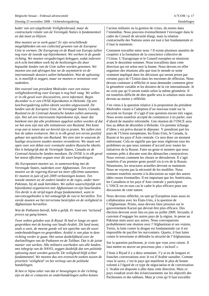*kader van een uitgebreide Veiligheidsraad, maar de contractuele relatie van de Verenigde Naties is fundamenteel en dat moet zo blijven.*

*Hoe moeten we te werk gaan? Er zijn verschillende mogelijkheden om een collectief geweten van de Europese Unie te vormen. De Eurogroep en de Raad van Europa zullen nog voor de tweede top bijeenkomen. We werken in de goede richting. We moeten vergaderingen beleggen, zodat iedereen zich echt betrokken voelt bij de beslissingen die door bepaalde landen van de Unie zullen worden genomen. We moeten ons ook afvragen hoe we de asymmetrie en de internationale dossiers zullen behandelen. Wat de oplossing is, is moeilijk te zeggen, maar we moeten er tenminste over nadenken.*

*Het voorstel van president Medvedev voor een nieuw veiligheidsverdrag voor Europa is nog heel vaag. We willen er in elk geval over discussiëren, eerst informeel. Begin december is er een OVSE-bijeenkomst in Helsinki. Op een lunchvergadering zullen ideeën worden uitgewisseld. De landen van de Europese Unie, de Verenigde Staten, Canada, Rusland en de Centraal-Aziatische landen zullen aanwezig zijn. Het zal een interessante bijeenkomst zijn, maar dat betekent niet dat alle problemen opgelost zullen worden of dat we het eens zijn met alle initiatieven van Rusland. Het komt erop aan te tonen dat we bereid zijn te praten. We zullen zien hoe de zaken evolueren. Het is in elk geval een eerste positief gebaar ten opzichte van Rusland. We zien niet in waarom de huidige structuren zouden moeten veranderen. We staan wel open voor een debat over eventuele andere Russische ideeën. Het is belangrijk dat de Verenigde Staten, Canada en de Centraal-Aziatische landen meedoen. De OVSE is in elk geval het meest efficiënte orgaan voor dit soort besprekingen.*

*Als Europeanen moeten we, in samenwerking met de Verenigde Staten, nadenken over Afghanistan. Ten eerste moeten we de regering-Karzaï tot meer efficiënte aanzetten. Er moeten in juni of juli 2009 verkiezingen komen. Ten tweede moeten we de andere landen in de regio, onder meer Pakistan, bij de zaak betrekken. We zullen waarschijnlijk een bijeenkomst organiseren met Afghanistan en zijn buurlanden. Ten derde is de strijd tegen drugs fundamenteel, want in narcoticagebieden is het onmogelijk de rust te herstellen. Ten vierde moeten we het terrorisme bestrijden en de veiligheid in Afghanistan herstellen.*

*Wat de Pathanen betreft, hebt u gelijk. Er moet een 'inclusief' proces op gang komen.*

*Twee weken geleden was ik Riyad. Ik had er lange en open gesprekken met de koning van Saudi-Arabië. Dit land toont, zoals u weet, de meeste goede wil ten opzichte van dit soort onderhandelingen en gesprekken. Arabië is van plan in deze richting verder te gaan. Het wenst duidelijkheid over de doelstellingen van de Pathanen en de Taliban. Dat is de juiste manier van werken. Alle militaire overheden van alle landen, met inbegrip van de NAVO, zeggen duidelijk dat een politieke oplossing moet worden gezocht. De veiligheid blijft echter fundamenteel. We moeten dus een evenwicht zoeken tussen de prioriteit 'veiligheid' en het verloop van de politieke handelingen.*

*Ik ben er bijna zeker van dat er bewegingen in die richting zijn en dat er contacten en onderhandelingen zullen komen* l'action militaire ou la gestion de crises, du moins dans l'immédiat. Nous pouvons éventuellement l'envisager dans le cadre du Conseil de sécurité élargi, mais la relation contractuelle des Nations unies est tout à fait fondamentale et il faut la maintenir.

Comment travailler entre nous ? Il existe plusieurs manière de coopérer à la formation de la conscience collective de l'Union. L'Eurogroupe et le Conseil européen se réuniront avant le deuxième sommet. Nous travaillons dans cette direction qui est selon moi la bonne. Nous devons en effet organiser des réunions afin que tout le monde se sente vraiment impliqué dans les décisions qui seront prises par certains pays de l'Union dans les enceintes de réflexion. Nous devons continuer à réfléchir et nous demander comment gérer la géométrie variable et les dossiers de la vie internationale. Je ne crois pas qu'il seront traités selon la même géométrie. Il est toutefois difficile de dire quelle sera la solution mais nous devons au moins y réfléchir.

J'en viens à la question relative à la proposition du président Medvedev visant à l'adoption d'un nouveau traité sur la sécurité en Europe. Il s'agit d'une question encore très vague. Nous avons toutefois accepté de commencer à en parler, tout d'abord de manière informelle. Une réunion de l'OSCE aura lieu au début de décembre à Helsinki. Un premier échange d'idées y est prévu durant le déjeuner. Y prendront part les pays de l'Union européenne, les États-Unis, le Canada, la Russie et les pays d'Asie centrale. Ce sera donc un moment intéressant. Cela ne signifie pas que nous réglerons tous les problèmes ou que nous sommes d'accord avec toutes les initiatives de la Russie. Faire un geste et montrer que nous sommes prêts à discuter sont des démarches constructives. Nous verrons comment les choses se dérouleront. Il s'agit toutefois d'un premier geste positif vis-à-vis de la Russie. Néanmoins, les structures actuelles devront se maintenir. Nous ne voyons pas la nécessité de les modifier. Nous sommes toutefois ouverts à la discussion au sujet des autres idées russes éventuelles. Il est important que les Américains, les Canadiens et les pays d'Asie centrale y participent. L'OSCE est en tous cas le cadre le plus efficace pour une discussion de cette nature.

Nous devrons réfléchir, en tant qu'Européens mais aussi en collaboration avec les États-Unis, à la question de l'Afghanistan. Primo, nous devons faire pression sur le gouvernement Karzaï qui devrait être plus efficace. Des élection devront avoir lieu en juin ou juillet 2009. Secundo, il convient d'engager les autres pays de la région. Je pense au Pakistan mais aussi aux autres. Nous convoquerons probablement une réunion avec l'Afghanistan et ses voisins. Tertio, la lutte contre la drogue est fondamentale car il est impossible de pacifier les *narcostates*. Quarto, il faut lutter contre le terrorisme et défendre la sécurité de l'Afghanistan.

Sur la question pachtoune, je crois que vous avez raison. Il faut mettre en œuvre un processus plus « inclusif ».

J'étais à Riyad il y a deux semaines. J'y ai eu de longues et franches conversations avec le roi d'Arabie saoudite. Comme vous le savez, c'est le pays qui manifeste le plus de bonne volonté à l'égard de ce type de négociation et de conversation. L'Arabie est disposée à aller dans cette direction. Mais ce pays voudrait avoir des éclaircissements sur les objectifs des Pachtounes et des talibans. Mais je crois qu'il faut travailler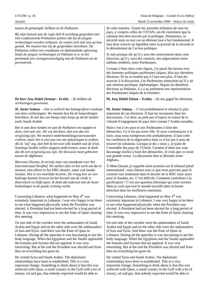| 4-7COM / p. 18 |  |
|----------------|--|
|----------------|--|

| tussen de gematigde Taliban en de Pathanen.                                                                                                                                                                                                                                                                                                                                                                               | de cette manière. Toutes les autorités militaires de tous les                                                                                                                                                                                                                                                                                                                                                                                         |  |
|---------------------------------------------------------------------------------------------------------------------------------------------------------------------------------------------------------------------------------------------------------------------------------------------------------------------------------------------------------------------------------------------------------------------------|-------------------------------------------------------------------------------------------------------------------------------------------------------------------------------------------------------------------------------------------------------------------------------------------------------------------------------------------------------------------------------------------------------------------------------------------------------|--|
| Bij mijn bezoek aan de regio heb ik urenlang gesproken met                                                                                                                                                                                                                                                                                                                                                                | pays, y compris celles de l'OTAN, ont dit clairement que la                                                                                                                                                                                                                                                                                                                                                                                           |  |
| niet-confessionele Pathaanse politici die bij de jongste                                                                                                                                                                                                                                                                                                                                                                  | solution doit être trouvée par la politique. Néanmoins, la                                                                                                                                                                                                                                                                                                                                                                                            |  |
| verkiezingen werden verkozen. Ze voelen zich ook niet op hun                                                                                                                                                                                                                                                                                                                                                              | sécurité reste en tout cas un élément tout à fait fondamental. Il                                                                                                                                                                                                                                                                                                                                                                                     |  |
| gemak. We moeten hen bij de gesprekken betrekken. De                                                                                                                                                                                                                                                                                                                                                                      | faut donc trouver un équilibre entre la priorité de la sécurité et                                                                                                                                                                                                                                                                                                                                                                                    |  |
| Pathanen willen een vreedzame en diplomatieke oplossing.                                                                                                                                                                                                                                                                                                                                                                  | le déroulement de l'action politique.                                                                                                                                                                                                                                                                                                                                                                                                                 |  |
| Sinds de jongste verkiezingen in Pakistan is er in het                                                                                                                                                                                                                                                                                                                                                                    | Je suis presque sûr qu'il y aura des mouvements dans cette                                                                                                                                                                                                                                                                                                                                                                                            |  |
| parlement een vertegenwoordiging van de Pathanen uit de                                                                                                                                                                                                                                                                                                                                                                   | direction, qu'il y aura des contacts, des négociations entre                                                                                                                                                                                                                                                                                                                                                                                          |  |
| grensstreek.                                                                                                                                                                                                                                                                                                                                                                                                              | talibans modérés, entre Pachtounes.                                                                                                                                                                                                                                                                                                                                                                                                                   |  |
|                                                                                                                                                                                                                                                                                                                                                                                                                           | Lorsque j'étais dans cette région, j'ai passé des heures avec<br>des hommes politiques pachtounes laïques, élus aux dernières<br>élections. Ils ne se sentent pas à l'aise non plus. Il faut les<br>associer à la discussion. Les Pachtounes aimeraient qu'il y ait<br>une solution pacifique, diplomatique. Depuis les dernières<br>élections au Pakistan, il y a au parlement une représentation<br>des Pachtounes laïques de la frontière.         |  |
| De heer Josy Dubié (Senaat – Ecolo). – Ze hebben de<br>verkiezingen gewonnen.                                                                                                                                                                                                                                                                                                                                             | M. Josy Dubié (Sénat – Ecolo). – Ils ont gagné les élections.                                                                                                                                                                                                                                                                                                                                                                                         |  |
| M. Javier Solana. - Dat is wellicht het belangrijkste resultaat                                                                                                                                                                                                                                                                                                                                                           | M. Javier Solana. - C'est probablement le résultat le plus                                                                                                                                                                                                                                                                                                                                                                                            |  |
| van deze verkiezingen. We moeten hen bij de besprekingen                                                                                                                                                                                                                                                                                                                                                                  | important de ces élections. Il faut les incorporer dans les                                                                                                                                                                                                                                                                                                                                                                                           |  |
| betrekken. Ik stel dus een beetje mijn hoop op derde landen                                                                                                                                                                                                                                                                                                                                                               | discussions. J'ai donc un petit peu d'espoir en raison de la                                                                                                                                                                                                                                                                                                                                                                                          |  |
| zoals Saudi-Arabië.                                                                                                                                                                                                                                                                                                                                                                                                       | volonté d'engagement de pays tiers comme l'Arabie saoudite.                                                                                                                                                                                                                                                                                                                                                                                           |  |
| Het is aan deze landen en aan de Pathanen om stappen te                                                                                                                                                                                                                                                                                                                                                                   | Mais c'est à ces pays et aux Pachtounes à faire des                                                                                                                                                                                                                                                                                                                                                                                                   |  |
| doen, niet aan ons. Als wij dat doen, dan zou dat een                                                                                                                                                                                                                                                                                                                                                                     | démarches. Ce n'est pas notre rôle. Si nous commençons à le                                                                                                                                                                                                                                                                                                                                                                                           |  |
| vergissing zijn. We moeten onderhandelingsvoorwaarden                                                                                                                                                                                                                                                                                                                                                                     | faire, nous nous tromperons très probablement. Il faut créer                                                                                                                                                                                                                                                                                                                                                                                          |  |
| creëren, maar het is niet aan ons om oplossingen te zoeken.                                                                                                                                                                                                                                                                                                                                                               | les conditions de la négociation mais ce n'est pas à nous de                                                                                                                                                                                                                                                                                                                                                                                          |  |
| Als ik 'wij' zeg, dan heb ik het over alle landen van de Unie.                                                                                                                                                                                                                                                                                                                                                            | trouver les solutions. Lorsque je dis « nous », je parle de                                                                                                                                                                                                                                                                                                                                                                                           |  |
| Sommige landen willen stappen ondernemen, maar ik denk                                                                                                                                                                                                                                                                                                                                                                    | l'ensemble des pays de l'Union. Certains d'entre eux sont                                                                                                                                                                                                                                                                                                                                                                                             |  |
| dat dit een vergissing zou zijn. De discussie moet gebeuren                                                                                                                                                                                                                                                                                                                                                               | davantage enclins à faire des démarches. Je crois que ce serait                                                                                                                                                                                                                                                                                                                                                                                       |  |
| tussen de Afghanen.                                                                                                                                                                                                                                                                                                                                                                                                       | une grande erreur. La discussion doit se dérouler entre                                                                                                                                                                                                                                                                                                                                                                                               |  |
| Mevrouw Durant, ik verwijs naar ons standpunt over het<br>Internationaal Strafhof. We stellen alles in het werk om dat te<br>steunen, niet alleen in het DRC-dossier, maar ook inzake<br>Soedan. Het is een moeilijke kwestie. De vraag hoe we een<br>bijdrage kunnen leveren tot het herstel van de vrede is<br>theoretisch en blijft open. Ik denk dat iedereen met de beste<br>bedoelingen in de goede richting werkt. | Afghans.<br>À Mme Durant, je rappelle notre position sur le tribunal pénal<br>international : nous faisons tout ce que nous pouvons pour le<br>soutenir non seulement dans le dossier de la RDC mais aussi<br>pour le Soudan, etc. C'est difficile. Comment contribuer à la<br>pacification ? C'est une question théorique qui reste ouverte.<br>Mais je crois que tout le monde travaille dans la bonne<br>direction dans les meilleures intentions. |  |
| Concerning Lebanon, what happened on May 4 <sup>th</sup> was                                                                                                                                                                                                                                                                                                                                                              | Concerning Lebanon, what happened on May 4 <sup>th</sup> was                                                                                                                                                                                                                                                                                                                                                                                          |  |
| extremely important in Lebanon. I was very happy to be there                                                                                                                                                                                                                                                                                                                                                              | extremely important in Lebanon. I was very happy to be there                                                                                                                                                                                                                                                                                                                                                                                          |  |
| to see what happened physically when the President was                                                                                                                                                                                                                                                                                                                                                                    | to see what happened physically when the President was                                                                                                                                                                                                                                                                                                                                                                                                |  |
| elected. A President had not been elected for a long period of                                                                                                                                                                                                                                                                                                                                                            | elected. A President had not been elected for a long period of                                                                                                                                                                                                                                                                                                                                                                                        |  |
| time. It was very impressive to see the Emir of Qatar chairing                                                                                                                                                                                                                                                                                                                                                            | time. It was very impressive to see the Emir of Qatar chairing                                                                                                                                                                                                                                                                                                                                                                                        |  |
| this meeting.                                                                                                                                                                                                                                                                                                                                                                                                             | this meeting.                                                                                                                                                                                                                                                                                                                                                                                                                                         |  |
| On one side of the corridor were the ambassadors of Saudi                                                                                                                                                                                                                                                                                                                                                                 | On one side of the corridor were the ambassadors of Saudi                                                                                                                                                                                                                                                                                                                                                                                             |  |
| Arabia and Egypt and on the other side were the ambassadors                                                                                                                                                                                                                                                                                                                                                               | Arabia and Egypt and on the other side were the ambassadors                                                                                                                                                                                                                                                                                                                                                                                           |  |
| of Iran and Syria. And there was the Emir of Qatar in                                                                                                                                                                                                                                                                                                                                                                     | of Iran and Syria. And there was the Emir of Qatar in                                                                                                                                                                                                                                                                                                                                                                                                 |  |
| Lebanon. During all the speeches it was fascinating to see the                                                                                                                                                                                                                                                                                                                                                            | Lebanon. During all the speeches it was fascinating to see the                                                                                                                                                                                                                                                                                                                                                                                        |  |
| body language. When the Egyptians and the Saudis applauded                                                                                                                                                                                                                                                                                                                                                                | body language. When the Egyptians and the Saudis applauded                                                                                                                                                                                                                                                                                                                                                                                            |  |
| the Iranians and Syrians did not applaud. It was very                                                                                                                                                                                                                                                                                                                                                                     | the Iranians and Syrians did not applaud. It was very                                                                                                                                                                                                                                                                                                                                                                                                 |  |
| interesting. But at the end the President was elected and from                                                                                                                                                                                                                                                                                                                                                            | interesting. But at the end the President was elected and from                                                                                                                                                                                                                                                                                                                                                                                        |  |
| then on everything has gone ok.                                                                                                                                                                                                                                                                                                                                                                                           | then on everything has gone ok.                                                                                                                                                                                                                                                                                                                                                                                                                       |  |
| He visited Syria and Saudi Arabia. The diplomatic                                                                                                                                                                                                                                                                                                                                                                         | He visited Syria and Saudi Arabia. The diplomatic                                                                                                                                                                                                                                                                                                                                                                                                     |  |
| relationships have been re-established. This is a very                                                                                                                                                                                                                                                                                                                                                                    | relationships have been re-established. This is a very                                                                                                                                                                                                                                                                                                                                                                                                |  |
| important change. Something to think about is that this was                                                                                                                                                                                                                                                                                                                                                               | important change. Something to think about is that this was                                                                                                                                                                                                                                                                                                                                                                                           |  |
| achieved with Qatar, a small country in the Gulf with a lot of                                                                                                                                                                                                                                                                                                                                                            | achieved with Qatar, a small country in the Gulf with a lot of                                                                                                                                                                                                                                                                                                                                                                                        |  |
| money, oil and gas, that nobody expected would be able to                                                                                                                                                                                                                                                                                                                                                                 | money, oil and gas, that nobody expected would be able to                                                                                                                                                                                                                                                                                                                                                                                             |  |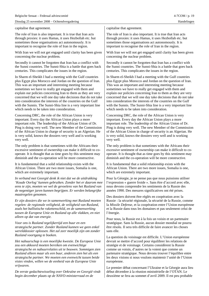capitalise that agreement.

The role of Iran is also important. It is true that Iran acts through proxies: it uses Hamas, it uses Hezbollah etc. but sometimes those organisations act autonomously. It is important to recognise the role of Iran in the region.

With Iran we will not get engaged until clarity has been given concerning the nuclear problem.

Secondly it cannot be forgotten that Iran has a conflict with the Sunni countries. The Sunni-Shia is a battle that goes back centuries. This complicates the issues in the region.

In Sharm el-Sheikh I had a meeting with the Gulf countries plus Egypt plus Morocco and Jordan on the question of Iran. This was an important and interesting meeting because sometimes we have to really get engaged with them and explain our policies concerning Iran to them as they are very concerned that we will one day take decisions that do not take into consideration the interests of the countries on the Gulf with the Sunnis. The Sunni-Shia line is a very important line which needs to be taken into consideration.

Concerning DRC, the role of the African Union is very important. Every day the African Union plays a more important role. The leadership of the African Union of Dr. Ping is doing very well. The new Member of the Commission of the African Union in charge of security is an Algerian. He is very solid, knows the dossiers very well and is working very well.

The only problem is that sometimes with the Africans their excessive sentiment of ownership can make it difficult to cooperate. It is thought that as time goes by this sentiment may diminish and the co-operation will be more constructive.

It is fundamental that a solid relationship exists with the African Union. There are two more issues, Somalia is one, which are extremely important.

*In verband met Georgië denk ik niet dat we de uitdrukking 'Koude Oorlog' kunnen gebruiken. Zonder het er daarom mee eens te zijn, moeten we wel de gevoelens van het Rusland van de negentiger jaren kunnen begrijpen. Er werden belangrijke maatregelen genomen.*

*Er zijn dossiers die we in samenwerking met Rusland moeten regelen: de regionale veiligheid, de veiligheid van Rusland, zoals het ballistische rakettenschild, en de samenwerking tussen de Europese Unie en Rusland op alle vlakken, en niet alleen op dat van energie.*

*Voor ons is Rusland tegelijkertijd een buur en een strategische partner. Zonder Rusland kunnen we geen enkel werelddossier oplossen. Het zal zeer moeilijk zijn om zonder Rusland voortgang te boeken.*

*Het nabuurschap is een moeilijke kwestie. De Europese Unie zou een akkoord moeten bereiken om evenwichtige strategische en nabuurrelaties uit te bouwen. Sommigen zien Rusland alleen maar als een buur, anderen zien het als een strategische partner. We moeten een evenwicht tussen beide visies vinden, willen we de eenheid van de Europese Unie vrijwaren.*

*De eerste gedachtewisseling over Oekraïne en Georgië vindt begin december plaats op de NAVO-ministerraad en de*

capitalise that agreement.

The role of Iran is also important. It is true that Iran acts through proxies: it uses Hamas, it uses Hezbollah etc. but sometimes those organisations act autonomously. It is important to recognise the role of Iran in the region.

With Iran we will not get engaged until clarity has been given concerning the nuclear problem.

Secondly it cannot be forgotten that Iran has a conflict with the Sunni countries. The Sunni-Shia is a battle that goes back centuries. This complicates the issues in the region.

In Sharm el-Sheikh I had a meeting with the Gulf countries plus Egypt plus Morocco and Jordan on the question of Iran. This was an important and interesting meeting because sometimes we have to really get engaged with them and explain our policies concerning Iran to them as they are very concerned that we will one day take decisions that do not take into consideration the interests of the countries on the Gulf with the Sunnis. The Sunni-Shia line is a very important line which needs to be taken into consideration.

Concerning DRC, the role of the African Union is very important. Every day the African Union plays a more important role. The leadership of the African Union of Dr. Ping is doing very well. The new Member of the Commission of the African Union in charge of security is an Algerian. He is very solid, knows the dossiers very well and is working very well.

The only problem is that sometimes with the Africans their excessive sentiment of ownership can make it difficult to cooperate. It is thought that as time goes by this sentiment may diminish and the co-operation will be more constructive.

It is fundamental that a solid relationship exists with the African Union. There are two more issues, Somalia is one, which are extremely important.

Pour la Géorgie, je ne pense pas que nous puissions utiliser l'expression « guerre froide ». Sans être d'accord avec elle, nous devons comprendre les sentiments de la Russie des années 1990. Des mesures significatives ont été prises.

Des dossiers doivent être réglés en coopération avec la Russie : la sécurité régionale, la sécurité de la Russie, comme la *Missile Defense*, et la coopération entre l'Union européenne et la Russie dans tous les domaines et pas seulement celui de l'énergie.

Pour nous, la Russie est à la fois un voisin et un partenaire stratégique. Sans la Russie, aucun dossier mondial ne pourra être résolu. Il sera très difficile de faire avancer les choses sans elle.

La question du voisinage est difficile. L'Union européenne devrait se mettre d'accord pour équilibrer les relations de stratégie et de voisinage. Certains considèrent la Russie comme un voisin, d'autres ne la voient que comme un partenaire stratégique. Nous devons trouver l'équilibre entre les deux visions si nous voulons maintenir l'unité de l'Union européenne.

Le premier débat concernant l'Ukraine et la Géorgie aura lieu début décembre à la réunion ministérielle de l'OTAN. Le deuxième se fera au sommet d'avril 2009. Il est peu probable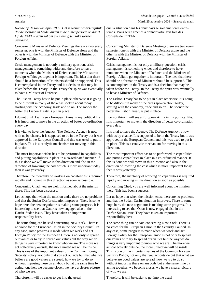| tweede op de top van april 2009. Het is weinig waarschijnlijk<br>dat de toestand in beide landen in de tussenperiode opklaart.<br>Op de NAVO-raden zal om uw mening ter zake worden<br>gevraagd. | que la situation dans les deux pays se soit améliorée entre-<br>temps. Vous serez amenés à donner votre avis lors des<br>Conseils de l'OTAN. |  |
|--------------------------------------------------------------------------------------------------------------------------------------------------------------------------------------------------|----------------------------------------------------------------------------------------------------------------------------------------------|--|
| Concerning Minister of Defence Meetings there are two every                                                                                                                                      | Concerning Minister of Defence Meetings there are two every                                                                                  |  |
| semester, one is with the Minister of Defence alone and the                                                                                                                                      | semester, one is with the Minister of Defence alone and the                                                                                  |  |
| other is with the Minister of Defence with the Minister of                                                                                                                                       | other is with the Minister of Defence with the Minister of                                                                                   |  |
| Foreign Affairs.                                                                                                                                                                                 | Foreign Affairs.                                                                                                                             |  |
| Crisis management is not only a military question, crisis                                                                                                                                        | Crisis management is not only a military question, crisis                                                                                    |  |
| management is something wider and therefore to have                                                                                                                                              | management is something wider and therefore to have                                                                                          |  |
| moments when the Minister of Defence and the Minister of                                                                                                                                         | moments when the Minister of Defence and the Minister of                                                                                     |  |
| Foreign Affairs get together is important. The idea that there                                                                                                                                   | Foreign Affairs get together is important. The idea that there                                                                               |  |
| should be a formation of Ministers should be supported. This                                                                                                                                     | should be a formation of Ministers should be supported. This                                                                                 |  |
| is contemplated in the Treaty and is a decision that may be                                                                                                                                      | is contemplated in the Treaty and is a decision that may be                                                                                  |  |
| taken before the Treaty. In the Treaty the spirit was eventually                                                                                                                                 | taken before the Treaty. In the Treaty the spirit was eventually                                                                             |  |
| to have a Minister of Defence.                                                                                                                                                                   | to have a Minister of Defence.                                                                                                               |  |
| The Lisbon Treaty has to be put in place otherwise it is going                                                                                                                                   | The Lisbon Treaty has to be put in place otherwise it is going                                                                               |  |
| to be difficult in many of the areas spoken about today,                                                                                                                                         | to be difficult in many of the areas spoken about today,                                                                                     |  |
| starting with the economy, trade and so on. The sooner the                                                                                                                                       | starting with the economy, trade and so on. The sooner the                                                                                   |  |
| better the Lisbon Treaty is put in place.                                                                                                                                                        | better the Lisbon Treaty is put in place.                                                                                                    |  |
| I do not think I will see a European Army in my political life.                                                                                                                                  | I do not think I will see a European Army in my political life.                                                                              |  |
| It is important to move in the direction of better co-ordination                                                                                                                                 | It is important to move in the direction of better co-ordination                                                                             |  |
| every day.                                                                                                                                                                                       | every day.                                                                                                                                   |  |
| It is vital to have the Agency. The Defence Agency is now                                                                                                                                        | It is vital to have the Agency. The Defence Agency is now                                                                                    |  |
| with us by chance. It is supposed to be in the Treaty but it was                                                                                                                                 | with us by chance. It is supposed to be in the Treaty but it was                                                                             |  |
| approved in the European Council and this was used to put it                                                                                                                                     | approved in the European Council and this was used to put it                                                                                 |  |
| in place. This is a catalytic mechanism for moving in this                                                                                                                                       | in place. This is a catalytic mechanism for moving in this                                                                                   |  |
| direction.                                                                                                                                                                                       | direction.                                                                                                                                   |  |
| The most important effort has to be performed in capabilities                                                                                                                                    | The most important effort has to be performed in capabilities                                                                                |  |
| and putting capabilities in place in a co-ordinated manner. If                                                                                                                                   | and putting capabilities in place in a co-ordinated manner. If                                                                               |  |
| this is done we will move in this direction and also in the                                                                                                                                      | this is done we will move in this direction and also in the                                                                                  |  |
| direction of lowering the cost which is more important today                                                                                                                                     | direction of lowering the cost which is more important today                                                                                 |  |
| then it was yesterday.                                                                                                                                                                           | then it was yesterday.                                                                                                                       |  |
| Therefore, the mentality of working on capabilities is required                                                                                                                                  | Therefore, the mentality of working on capabilities is required                                                                              |  |
| rapidly and moving in this direction as soon as possible.                                                                                                                                        | rapidly and moving in this direction as soon as possible.                                                                                    |  |
| Concerning Chad, you are well informed about the mission                                                                                                                                         | Concerning Chad, you are well informed about the mission                                                                                     |  |
| there. This has been a success.                                                                                                                                                                  | there. This has been a success.                                                                                                              |  |
| Let us hope that when the mission ends, there are no problems                                                                                                                                    | Let us hope that when the mission ends, there are no problems                                                                                |  |
| and that the Sudan-Darfur situation improves. There is some                                                                                                                                      | and that the Sudan-Darfur situation improves. There is some                                                                                  |  |
| hope here, the new negotiator is making some progress. It is                                                                                                                                     | hope here, the new negotiator is making some progress. It is                                                                                 |  |
| interesting to see that Qatar is now engaged also in the                                                                                                                                         | interesting to see that Qatar is now engaged also in the                                                                                     |  |
| Darfur-Sudan issue. They have taken an important                                                                                                                                                 | Darfur-Sudan issue. They have taken an important                                                                                             |  |
| responsibility here.                                                                                                                                                                             | responsibility here.                                                                                                                         |  |
| The same thing can be said concerning New York. There is                                                                                                                                         | The same thing can be said concerning New York. There is                                                                                     |  |
| no voice for the European Union in the Security Council. In                                                                                                                                      | no voice for the European Union in the Security Council. In                                                                                  |  |
| any case, some progress is made when we work and act.                                                                                                                                            | any case, some progress is made when we work and act.                                                                                        |  |
| Foreign Policy for the European Union is not only to spread                                                                                                                                      | Foreign Policy for the European Union is not only to spread                                                                                  |  |
| our values or to try to spread our values but the way we do                                                                                                                                      | our values or to try to spread our values but the way we do                                                                                  |  |
| things is very important to know who we are. The more we                                                                                                                                         | things is very important to know who we are. The more we                                                                                     |  |
| act collectively outside, the more united we will be inside.                                                                                                                                     | act collectively outside, the more united we will be inside.                                                                                 |  |
| This is one of the important values of the Common Foreign                                                                                                                                        | This is one of the important values of the Common Foreign                                                                                    |  |
| Security Policy, not only that you act outside but that what we                                                                                                                                  | Security Policy, not only that you act outside but that what we                                                                              |  |
| believe are good values are spread, how we try to do so                                                                                                                                          | believe are good values are spread, how we try to do so                                                                                      |  |
| without imposing these on anybody but at the same time by                                                                                                                                        | without imposing these on anybody but at the same time by                                                                                    |  |
| acting together, we become closer, we have a clearer picture                                                                                                                                     | acting together, we become closer, we have a clearer picture                                                                                 |  |
| of who we are.                                                                                                                                                                                   | of who we are.                                                                                                                               |  |
| Therefore, it will be easier to get into the usual                                                                                                                                               | Therefore, it will be easier to get into the usual                                                                                           |  |